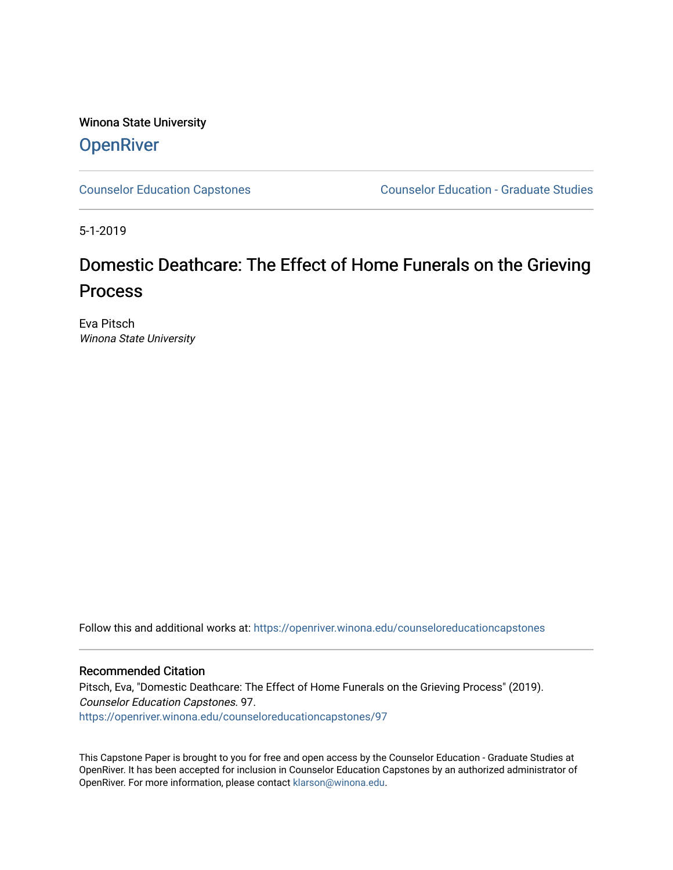Winona State University **OpenRiver** 

[Counselor Education Capstones](https://openriver.winona.edu/counseloreducationcapstones) [Counselor Education - Graduate Studies](https://openriver.winona.edu/counseloreducation) 

5-1-2019

# Domestic Deathcare: The Effect of Home Funerals on the Grieving **Process**

Eva Pitsch Winona State University

Follow this and additional works at: [https://openriver.winona.edu/counseloreducationcapstones](https://openriver.winona.edu/counseloreducationcapstones?utm_source=openriver.winona.edu%2Fcounseloreducationcapstones%2F97&utm_medium=PDF&utm_campaign=PDFCoverPages)

#### Recommended Citation

Pitsch, Eva, "Domestic Deathcare: The Effect of Home Funerals on the Grieving Process" (2019). Counselor Education Capstones. 97. [https://openriver.winona.edu/counseloreducationcapstones/97](https://openriver.winona.edu/counseloreducationcapstones/97?utm_source=openriver.winona.edu%2Fcounseloreducationcapstones%2F97&utm_medium=PDF&utm_campaign=PDFCoverPages) 

This Capstone Paper is brought to you for free and open access by the Counselor Education - Graduate Studies at OpenRiver. It has been accepted for inclusion in Counselor Education Capstones by an authorized administrator of OpenRiver. For more information, please contact [klarson@winona.edu](mailto:klarson@winona.edu).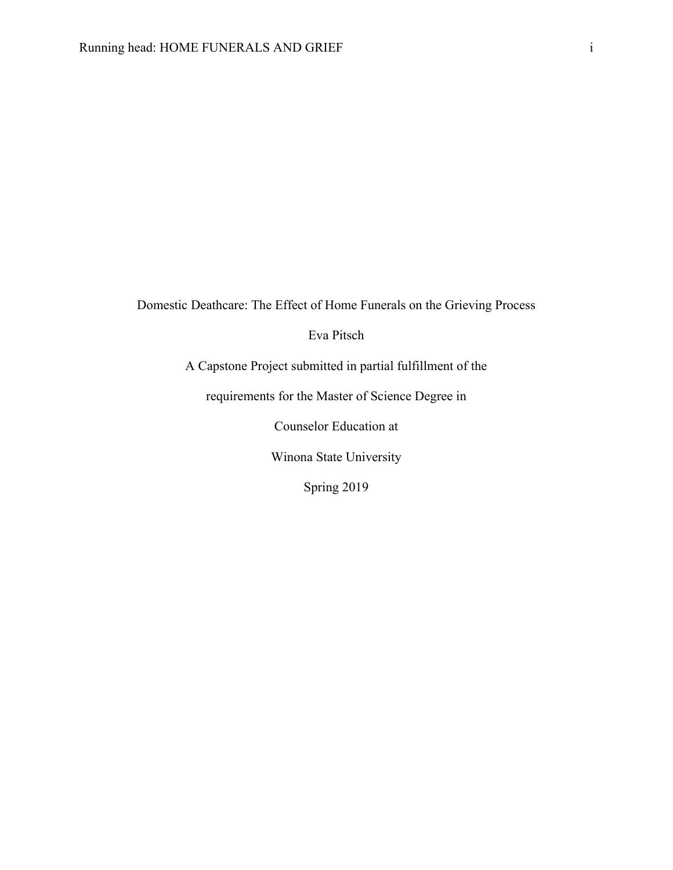Domestic Deathcare: The Effect of Home Funerals on the Grieving Process

Eva Pitsch

A Capstone Project submitted in partial fulfillment of the

requirements for the Master of Science Degree in

Counselor Education at

Winona State University

Spring 2019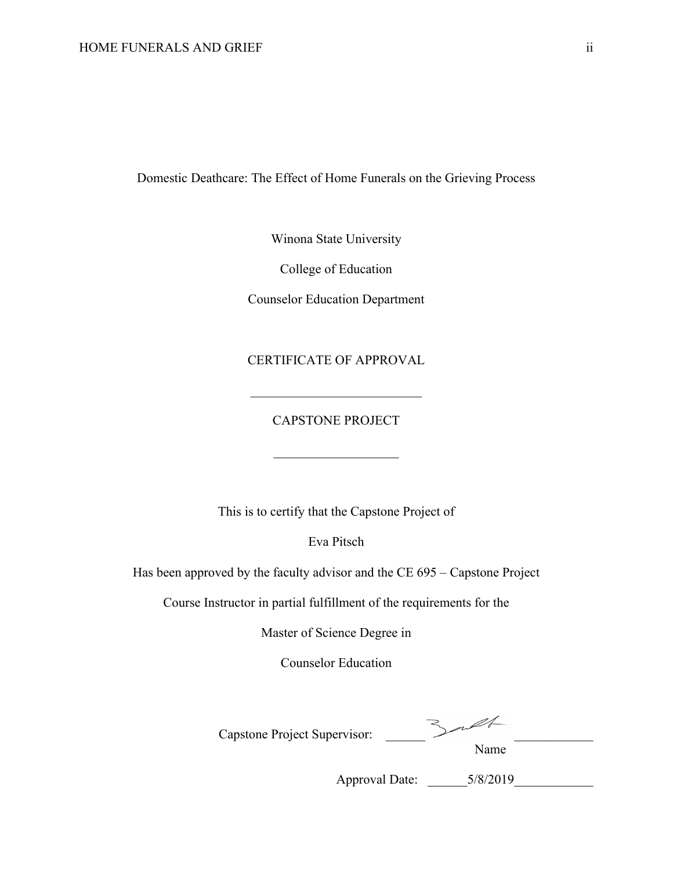Domestic Deathcare: The Effect of Home Funerals on the Grieving Process

Winona State University

College of Education

Counselor Education Department

CERTIFICATE OF APPROVAL

#### CAPSTONE PROJECT

This is to certify that the Capstone Project of

Eva Pitsch

Has been approved by the faculty advisor and the CE 695 – Capstone Project

Course Instructor in partial fulfillment of the requirements for the

Master of Science Degree in

Counselor Education

| Capstone Project Supervisor: |      |  |
|------------------------------|------|--|
|                              | Name |  |

Approval Date: \_\_\_\_\_\_5/8/2019\_\_\_\_\_\_\_\_\_\_\_\_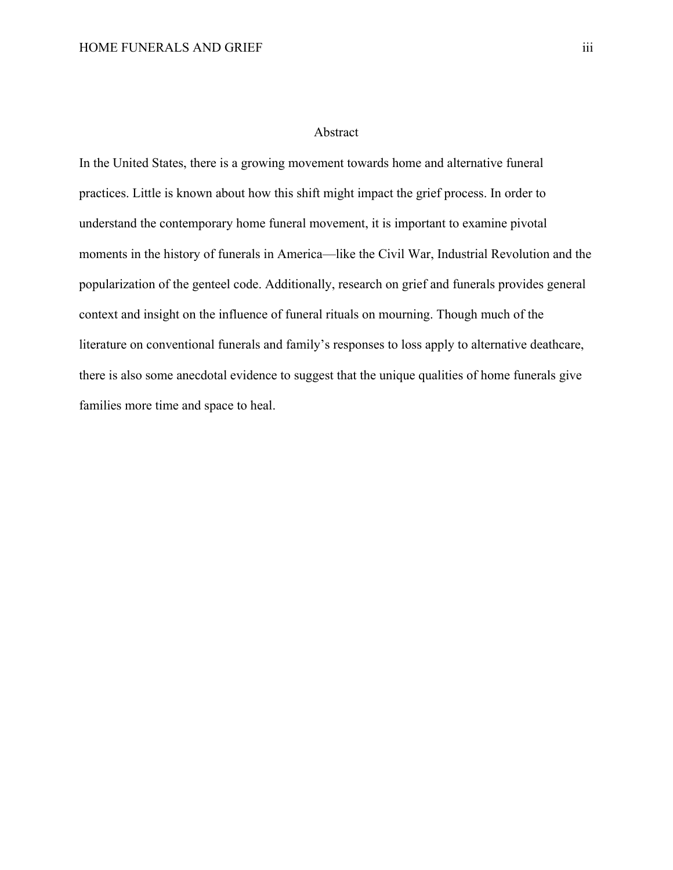#### Abstract

In the United States, there is a growing movement towards home and alternative funeral practices. Little is known about how this shift might impact the grief process. In order to understand the contemporary home funeral movement, it is important to examine pivotal moments in the history of funerals in America—like the Civil War, Industrial Revolution and the popularization of the genteel code. Additionally, research on grief and funerals provides general context and insight on the influence of funeral rituals on mourning. Though much of the literature on conventional funerals and family's responses to loss apply to alternative deathcare, there is also some anecdotal evidence to suggest that the unique qualities of home funerals give families more time and space to heal.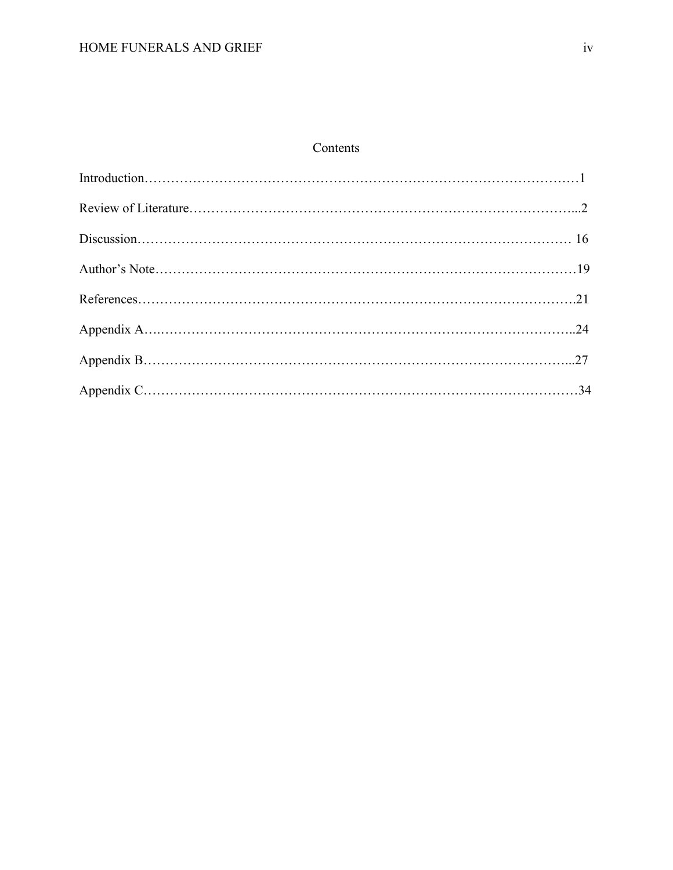## Contents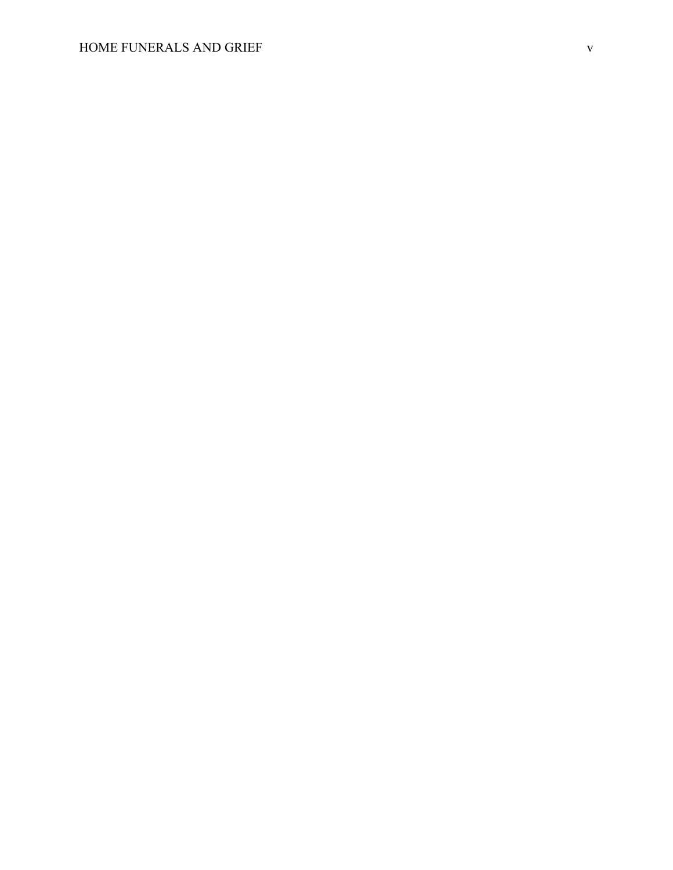### HOME FUNERALS AND GRIEF V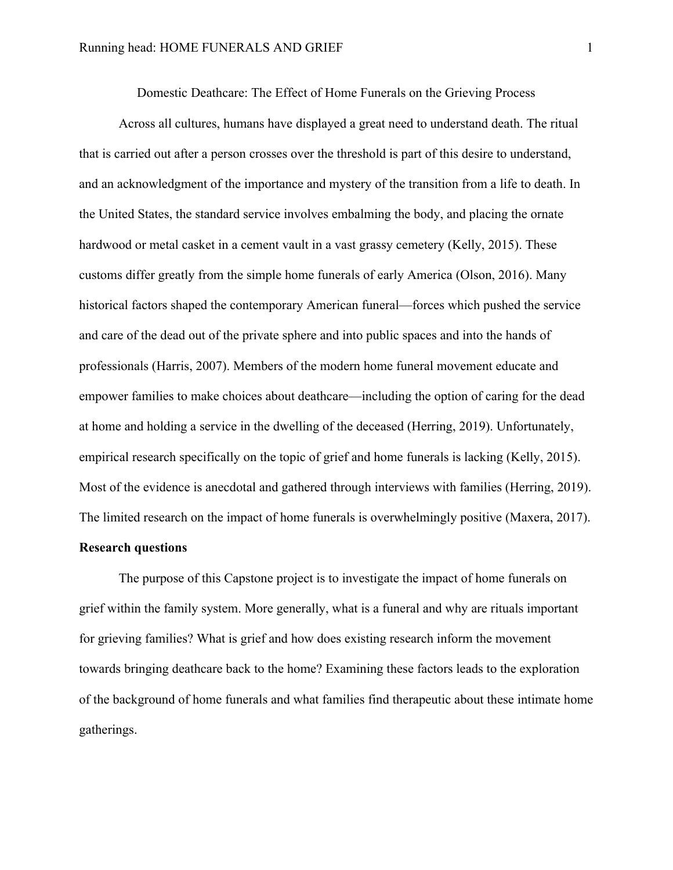Domestic Deathcare: The Effect of Home Funerals on the Grieving Process

Across all cultures, humans have displayed a great need to understand death. The ritual that is carried out after a person crosses over the threshold is part of this desire to understand, and an acknowledgment of the importance and mystery of the transition from a life to death. In the United States, the standard service involves embalming the body, and placing the ornate hardwood or metal casket in a cement vault in a vast grassy cemetery (Kelly, 2015). These customs differ greatly from the simple home funerals of early America (Olson, 2016). Many historical factors shaped the contemporary American funeral—forces which pushed the service and care of the dead out of the private sphere and into public spaces and into the hands of professionals (Harris, 2007). Members of the modern home funeral movement educate and empower families to make choices about deathcare—including the option of caring for the dead at home and holding a service in the dwelling of the deceased (Herring, 2019). Unfortunately, empirical research specifically on the topic of grief and home funerals is lacking (Kelly, 2015). Most of the evidence is anecdotal and gathered through interviews with families (Herring, 2019). The limited research on the impact of home funerals is overwhelmingly positive (Maxera, 2017).

#### **Research questions**

The purpose of this Capstone project is to investigate the impact of home funerals on grief within the family system. More generally, what is a funeral and why are rituals important for grieving families? What is grief and how does existing research inform the movement towards bringing deathcare back to the home? Examining these factors leads to the exploration of the background of home funerals and what families find therapeutic about these intimate home gatherings.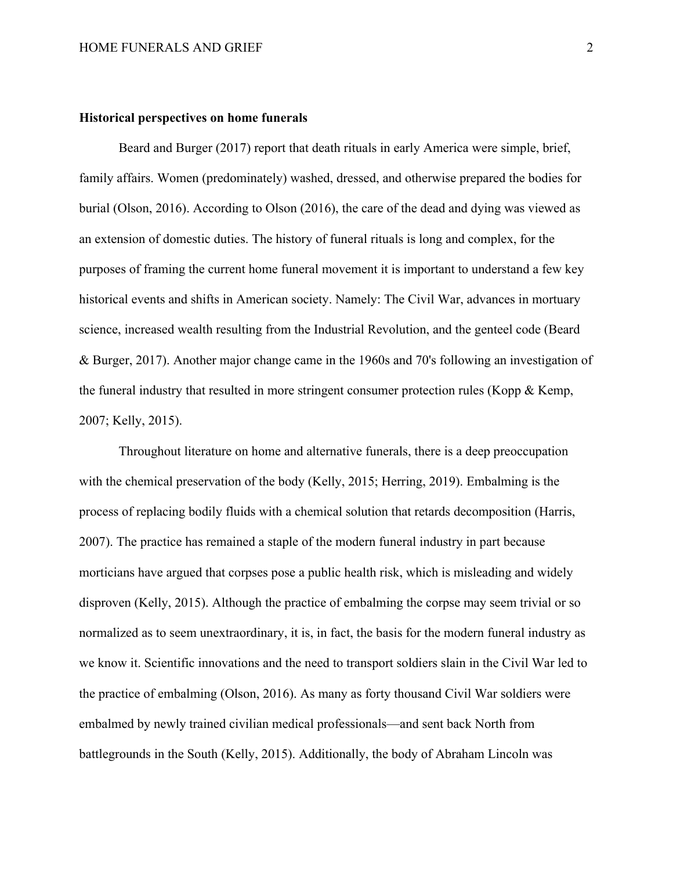#### **Historical perspectives on home funerals**

Beard and Burger (2017) report that death rituals in early America were simple, brief, family affairs. Women (predominately) washed, dressed, and otherwise prepared the bodies for burial (Olson, 2016). According to Olson (2016), the care of the dead and dying was viewed as an extension of domestic duties. The history of funeral rituals is long and complex, for the purposes of framing the current home funeral movement it is important to understand a few key historical events and shifts in American society. Namely: The Civil War, advances in mortuary science, increased wealth resulting from the Industrial Revolution, and the genteel code (Beard & Burger, 2017). Another major change came in the 1960s and 70's following an investigation of the funeral industry that resulted in more stringent consumer protection rules (Kopp & Kemp, 2007; Kelly, 2015).

Throughout literature on home and alternative funerals, there is a deep preoccupation with the chemical preservation of the body (Kelly, 2015; Herring, 2019). Embalming is the process of replacing bodily fluids with a chemical solution that retards decomposition (Harris, 2007). The practice has remained a staple of the modern funeral industry in part because morticians have argued that corpses pose a public health risk, which is misleading and widely disproven (Kelly, 2015). Although the practice of embalming the corpse may seem trivial or so normalized as to seem unextraordinary, it is, in fact, the basis for the modern funeral industry as we know it. Scientific innovations and the need to transport soldiers slain in the Civil War led to the practice of embalming (Olson, 2016). As many as forty thousand Civil War soldiers were embalmed by newly trained civilian medical professionals—and sent back North from battlegrounds in the South (Kelly, 2015). Additionally, the body of Abraham Lincoln was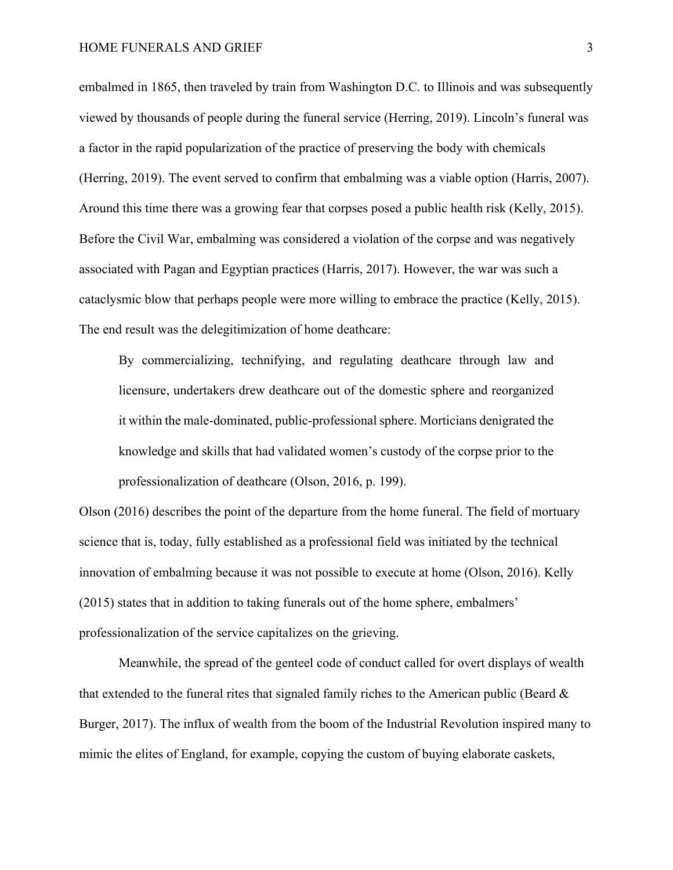embalmed in 1865, then traveled by train from Washington D.C. to Illinois and was subsequently viewed by thousands of people during the funeral service (Herring, 2019). Lincoln's funeral was a factor in the rapid popularization of the practice of preserving the body with chemicals (Herring, 2019). The event served to confirm that embalming was a viable option (Harris, 2007). Around this time there was a growing fear that corpses posed a public health risk (Kelly, 2015). Before the Civil War, embalming was considered a violation of the corpse and was negatively associated with Pagan and Egyptian practices (Harris, 2017). However, the war was such a cataclysmic blow that perhaps people were more willing to embrace the practice (Kelly, 2015). The end result was the delegitimization of home deathcare:

By commercializing, technifying, and regulating deathcare through law and licensure, undertakers drew deathcare out of the domestic sphere and reorganized it within the male-dominated, public-professional sphere. Morticians denigrated the knowledge and skills that had validated women's custody of the corpse prior to the professionalization of deathcare (Olson, 2016, p. 199).

Olson (2016) describes the point of the departure from the home funeral. The field of mortuary science that is, today, fully established as a professional field was initiated by the technical innovation of embalming because it was not possible to execute at home (Olson, 2016). Kelly (2015) states that in addition to taking funerals out of the home sphere, embalmers' professionalization of the service capitalizes on the grieving.

Meanwhile, the spread of the genteel code of conduct called for overt displays of wealth that extended to the funeral rites that signaled family riches to the American public (Beard  $\&$ Burger, 2017). The influx of wealth from the boom of the Industrial Revolution inspired many to mimic the elites of England, for example, copying the custom of buying elaborate caskets,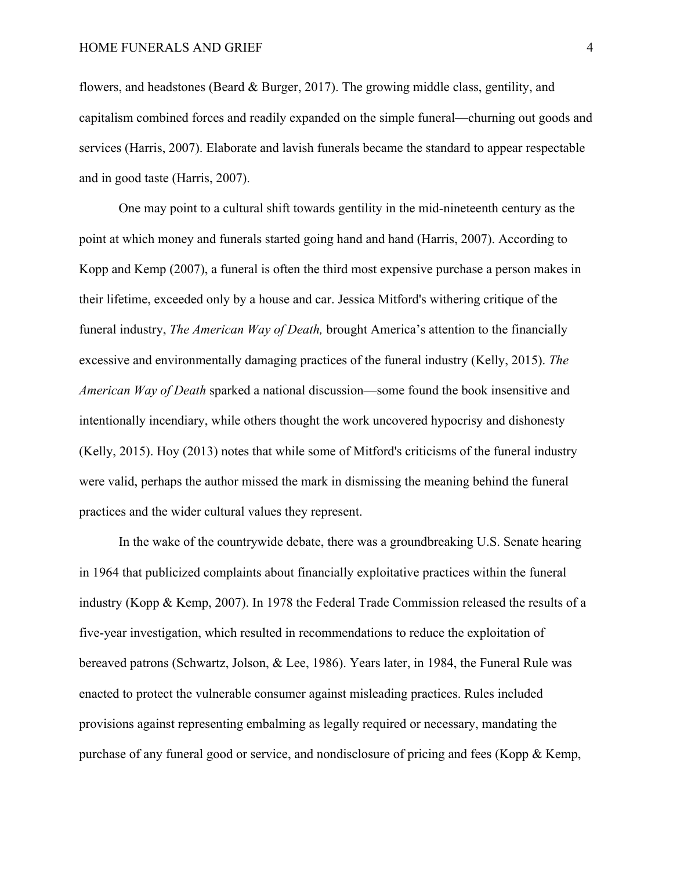flowers, and headstones (Beard  $\&$  Burger, 2017). The growing middle class, gentility, and capitalism combined forces and readily expanded on the simple funeral—churning out goods and services (Harris, 2007). Elaborate and lavish funerals became the standard to appear respectable and in good taste (Harris, 2007).

One may point to a cultural shift towards gentility in the mid-nineteenth century as the point at which money and funerals started going hand and hand (Harris, 2007). According to Kopp and Kemp (2007), a funeral is often the third most expensive purchase a person makes in their lifetime, exceeded only by a house and car. Jessica Mitford's withering critique of the funeral industry, *The American Way of Death,* brought America's attention to the financially excessive and environmentally damaging practices of the funeral industry (Kelly, 2015). *The American Way of Death* sparked a national discussion—some found the book insensitive and intentionally incendiary, while others thought the work uncovered hypocrisy and dishonesty (Kelly, 2015). Hoy (2013) notes that while some of Mitford's criticisms of the funeral industry were valid, perhaps the author missed the mark in dismissing the meaning behind the funeral practices and the wider cultural values they represent.

In the wake of the countrywide debate, there was a groundbreaking U.S. Senate hearing in 1964 that publicized complaints about financially exploitative practices within the funeral industry (Kopp & Kemp, 2007). In 1978 the Federal Trade Commission released the results of a five-year investigation, which resulted in recommendations to reduce the exploitation of bereaved patrons (Schwartz, Jolson, & Lee, 1986). Years later, in 1984, the Funeral Rule was enacted to protect the vulnerable consumer against misleading practices. Rules included provisions against representing embalming as legally required or necessary, mandating the purchase of any funeral good or service, and nondisclosure of pricing and fees (Kopp & Kemp,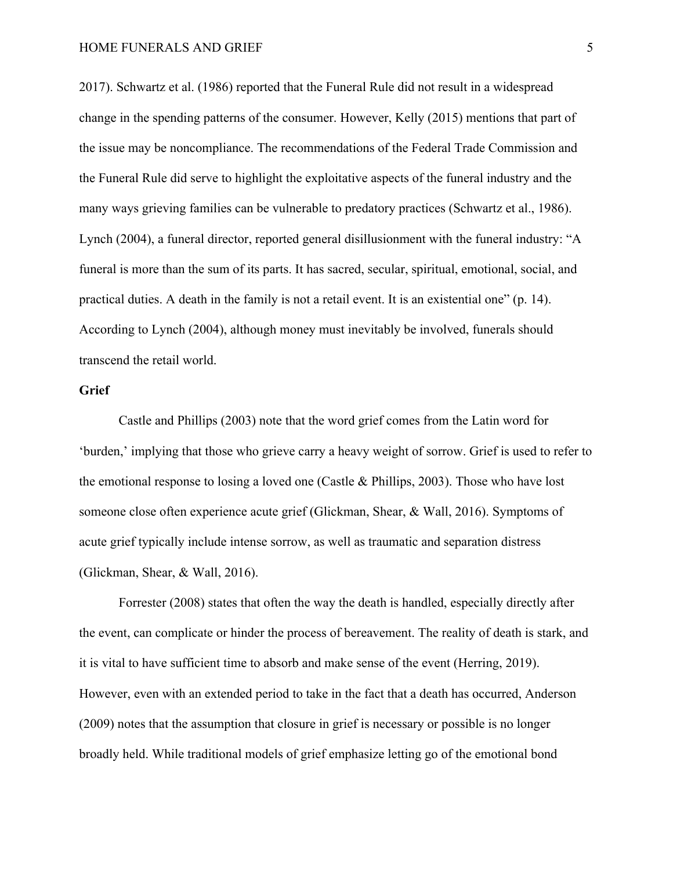2017). Schwartz et al. (1986) reported that the Funeral Rule did not result in a widespread change in the spending patterns of the consumer. However, Kelly (2015) mentions that part of the issue may be noncompliance. The recommendations of the Federal Trade Commission and the Funeral Rule did serve to highlight the exploitative aspects of the funeral industry and the many ways grieving families can be vulnerable to predatory practices (Schwartz et al., 1986). Lynch (2004), a funeral director, reported general disillusionment with the funeral industry: "A funeral is more than the sum of its parts. It has sacred, secular, spiritual, emotional, social, and practical duties. A death in the family is not a retail event. It is an existential one" (p. 14). According to Lynch (2004), although money must inevitably be involved, funerals should transcend the retail world.

#### **Grief**

Castle and Phillips (2003) note that the word grief comes from the Latin word for 'burden,' implying that those who grieve carry a heavy weight of sorrow. Grief is used to refer to the emotional response to losing a loved one (Castle & Phillips, 2003). Those who have lost someone close often experience acute grief (Glickman, Shear, & Wall, 2016). Symptoms of acute grief typically include intense sorrow, as well as traumatic and separation distress (Glickman, Shear, & Wall, 2016).

Forrester (2008) states that often the way the death is handled, especially directly after the event, can complicate or hinder the process of bereavement. The reality of death is stark, and it is vital to have sufficient time to absorb and make sense of the event (Herring, 2019). However, even with an extended period to take in the fact that a death has occurred, Anderson (2009) notes that the assumption that closure in grief is necessary or possible is no longer broadly held. While traditional models of grief emphasize letting go of the emotional bond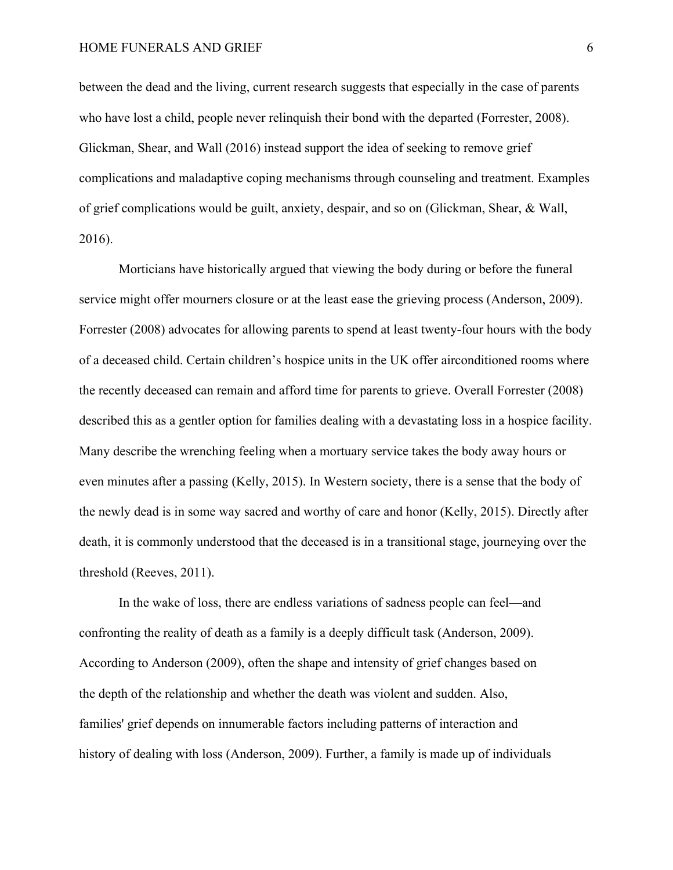between the dead and the living, current research suggests that especially in the case of parents who have lost a child, people never relinquish their bond with the departed (Forrester, 2008). Glickman, Shear, and Wall (2016) instead support the idea of seeking to remove grief complications and maladaptive coping mechanisms through counseling and treatment. Examples of grief complications would be guilt, anxiety, despair, and so on (Glickman, Shear, & Wall, 2016).

Morticians have historically argued that viewing the body during or before the funeral service might offer mourners closure or at the least ease the grieving process (Anderson, 2009). Forrester (2008) advocates for allowing parents to spend at least twenty-four hours with the body of a deceased child. Certain children's hospice units in the UK offer airconditioned rooms where the recently deceased can remain and afford time for parents to grieve. Overall Forrester (2008) described this as a gentler option for families dealing with a devastating loss in a hospice facility. Many describe the wrenching feeling when a mortuary service takes the body away hours or even minutes after a passing (Kelly, 2015). In Western society, there is a sense that the body of the newly dead is in some way sacred and worthy of care and honor (Kelly, 2015). Directly after death, it is commonly understood that the deceased is in a transitional stage, journeying over the threshold (Reeves, 2011).

In the wake of loss, there are endless variations of sadness people can feel—and confronting the reality of death as a family is a deeply difficult task (Anderson, 2009). According to Anderson (2009), often the shape and intensity of grief changes based on the depth of the relationship and whether the death was violent and sudden. Also, families' grief depends on innumerable factors including patterns of interaction and history of dealing with loss (Anderson, 2009). Further, a family is made up of individuals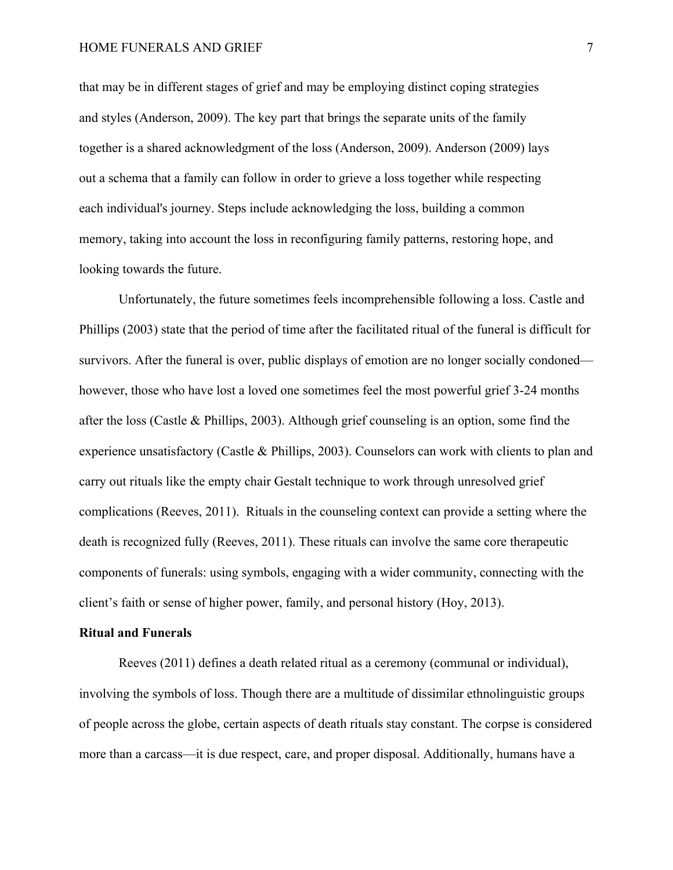#### HOME FUNERALS AND GRIEF 7

that may be in different stages of grief and may be employing distinct coping strategies and styles (Anderson, 2009). The key part that brings the separate units of the family together is a shared acknowledgment of the loss (Anderson, 2009). Anderson (2009) lays out a schema that a family can follow in order to grieve a loss together while respecting each individual's journey. Steps include acknowledging the loss, building a common memory, taking into account the loss in reconfiguring family patterns, restoring hope, and looking towards the future.

Unfortunately, the future sometimes feels incomprehensible following a loss. Castle and Phillips (2003) state that the period of time after the facilitated ritual of the funeral is difficult for survivors. After the funeral is over, public displays of emotion are no longer socially condoned however, those who have lost a loved one sometimes feel the most powerful grief 3-24 months after the loss (Castle & Phillips, 2003). Although grief counseling is an option, some find the experience unsatisfactory (Castle & Phillips, 2003). Counselors can work with clients to plan and carry out rituals like the empty chair Gestalt technique to work through unresolved grief complications (Reeves, 2011). Rituals in the counseling context can provide a setting where the death is recognized fully (Reeves, 2011). These rituals can involve the same core therapeutic components of funerals: using symbols, engaging with a wider community, connecting with the client's faith or sense of higher power, family, and personal history (Hoy, 2013).

#### **Ritual and Funerals**

Reeves (2011) defines a death related ritual as a ceremony (communal or individual), involving the symbols of loss. Though there are a multitude of dissimilar ethnolinguistic groups of people across the globe, certain aspects of death rituals stay constant. The corpse is considered more than a carcass—it is due respect, care, and proper disposal. Additionally, humans have a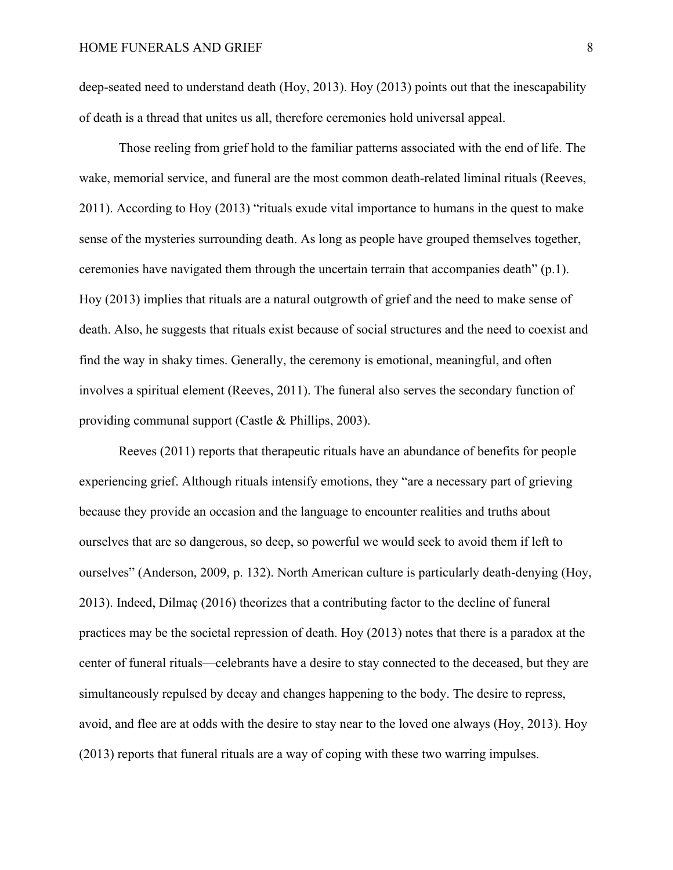deep-seated need to understand death (Hoy, 2013). Hoy (2013) points out that the inescapability of death is a thread that unites us all, therefore ceremonies hold universal appeal.

Those reeling from grief hold to the familiar patterns associated with the end of life. The wake, memorial service, and funeral are the most common death-related liminal rituals (Reeves, 2011). According to Hoy (2013) "rituals exude vital importance to humans in the quest to make sense of the mysteries surrounding death. As long as people have grouped themselves together, ceremonies have navigated them through the uncertain terrain that accompanies death" (p.1). Hoy (2013) implies that rituals are a natural outgrowth of grief and the need to make sense of death. Also, he suggests that rituals exist because of social structures and the need to coexist and find the way in shaky times. Generally, the ceremony is emotional, meaningful, and often involves a spiritual element (Reeves, 2011). The funeral also serves the secondary function of providing communal support (Castle & Phillips, 2003).

Reeves (2011) reports that therapeutic rituals have an abundance of benefits for people experiencing grief. Although rituals intensify emotions, they "are a necessary part of grieving because they provide an occasion and the language to encounter realities and truths about ourselves that are so dangerous, so deep, so powerful we would seek to avoid them if left to ourselves" (Anderson, 2009, p. 132). North American culture is particularly death-denying (Hoy, 2013). Indeed, Dilmaç (2016) theorizes that a contributing factor to the decline of funeral practices may be the societal repression of death. Hoy (2013) notes that there is a paradox at the center of funeral rituals—celebrants have a desire to stay connected to the deceased, but they are simultaneously repulsed by decay and changes happening to the body. The desire to repress, avoid, and flee are at odds with the desire to stay near to the loved one always (Hoy, 2013). Hoy (2013) reports that funeral rituals are a way of coping with these two warring impulses.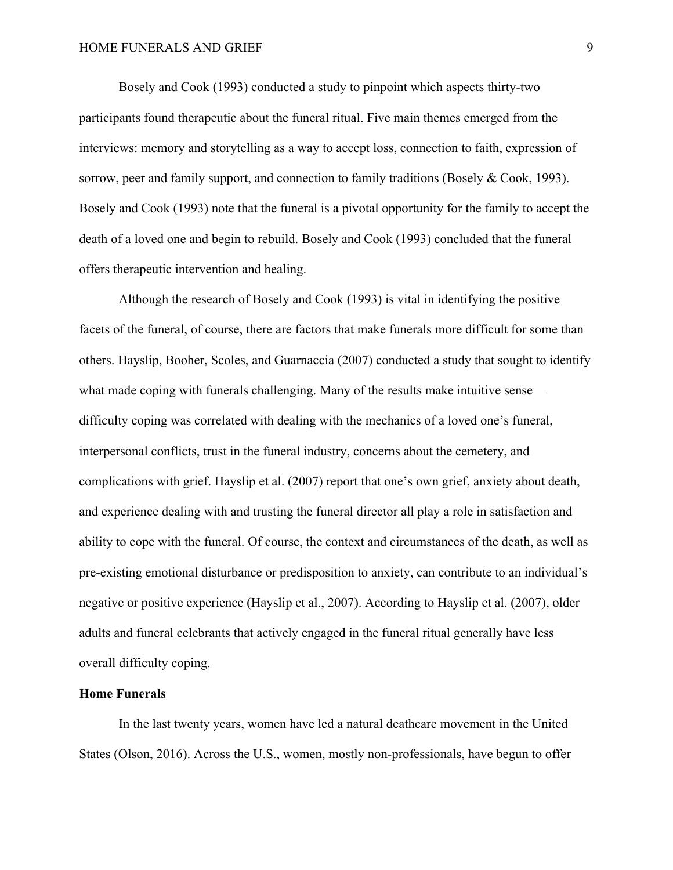Bosely and Cook (1993) conducted a study to pinpoint which aspects thirty-two participants found therapeutic about the funeral ritual. Five main themes emerged from the interviews: memory and storytelling as a way to accept loss, connection to faith, expression of sorrow, peer and family support, and connection to family traditions (Bosely & Cook, 1993). Bosely and Cook (1993) note that the funeral is a pivotal opportunity for the family to accept the death of a loved one and begin to rebuild. Bosely and Cook (1993) concluded that the funeral offers therapeutic intervention and healing.

Although the research of Bosely and Cook (1993) is vital in identifying the positive facets of the funeral, of course, there are factors that make funerals more difficult for some than others. Hayslip, Booher, Scoles, and Guarnaccia (2007) conducted a study that sought to identify what made coping with funerals challenging. Many of the results make intuitive sense difficulty coping was correlated with dealing with the mechanics of a loved one's funeral, interpersonal conflicts, trust in the funeral industry, concerns about the cemetery, and complications with grief. Hayslip et al. (2007) report that one's own grief, anxiety about death, and experience dealing with and trusting the funeral director all play a role in satisfaction and ability to cope with the funeral. Of course, the context and circumstances of the death, as well as pre-existing emotional disturbance or predisposition to anxiety, can contribute to an individual's negative or positive experience (Hayslip et al., 2007). According to Hayslip et al. (2007), older adults and funeral celebrants that actively engaged in the funeral ritual generally have less overall difficulty coping.

#### **Home Funerals**

In the last twenty years, women have led a natural deathcare movement in the United States (Olson, 2016). Across the U.S., women, mostly non-professionals, have begun to offer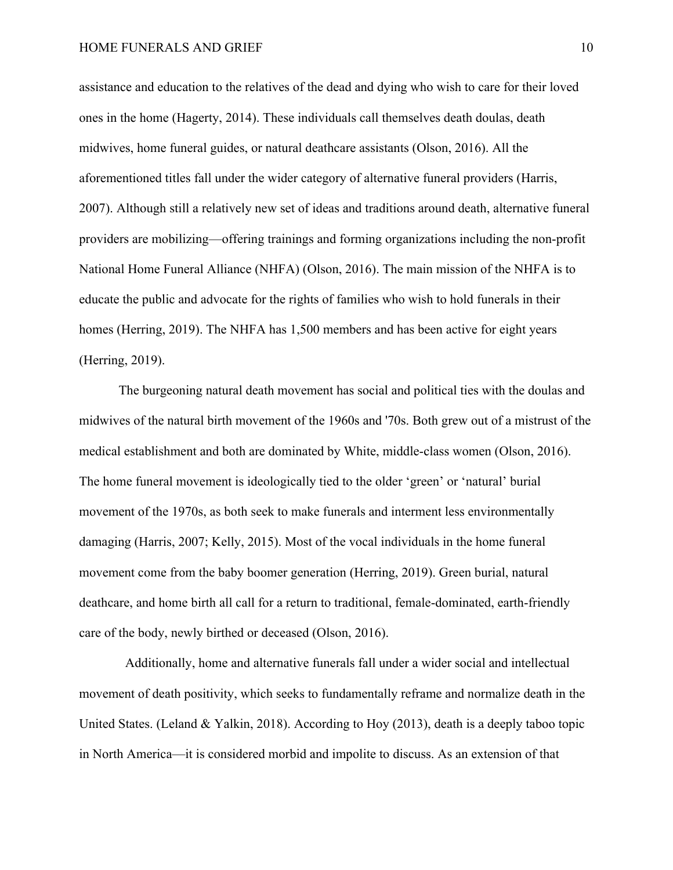assistance and education to the relatives of the dead and dying who wish to care for their loved ones in the home (Hagerty, 2014). These individuals call themselves death doulas, death midwives, home funeral guides, or natural deathcare assistants (Olson, 2016). All the aforementioned titles fall under the wider category of alternative funeral providers (Harris, 2007). Although still a relatively new set of ideas and traditions around death, alternative funeral providers are mobilizing—offering trainings and forming organizations including the non-profit National Home Funeral Alliance (NHFA) (Olson, 2016). The main mission of the NHFA is to educate the public and advocate for the rights of families who wish to hold funerals in their homes (Herring, 2019). The NHFA has 1,500 members and has been active for eight years (Herring, 2019).

The burgeoning natural death movement has social and political ties with the doulas and midwives of the natural birth movement of the 1960s and '70s. Both grew out of a mistrust of the medical establishment and both are dominated by White, middle-class women (Olson, 2016). The home funeral movement is ideologically tied to the older 'green' or 'natural' burial movement of the 1970s, as both seek to make funerals and interment less environmentally damaging (Harris, 2007; Kelly, 2015). Most of the vocal individuals in the home funeral movement come from the baby boomer generation (Herring, 2019). Green burial, natural deathcare, and home birth all call for a return to traditional, female-dominated, earth-friendly care of the body, newly birthed or deceased (Olson, 2016).

 Additionally, home and alternative funerals fall under a wider social and intellectual movement of death positivity, which seeks to fundamentally reframe and normalize death in the United States. (Leland & Yalkin, 2018). According to Hoy (2013), death is a deeply taboo topic in North America—it is considered morbid and impolite to discuss. As an extension of that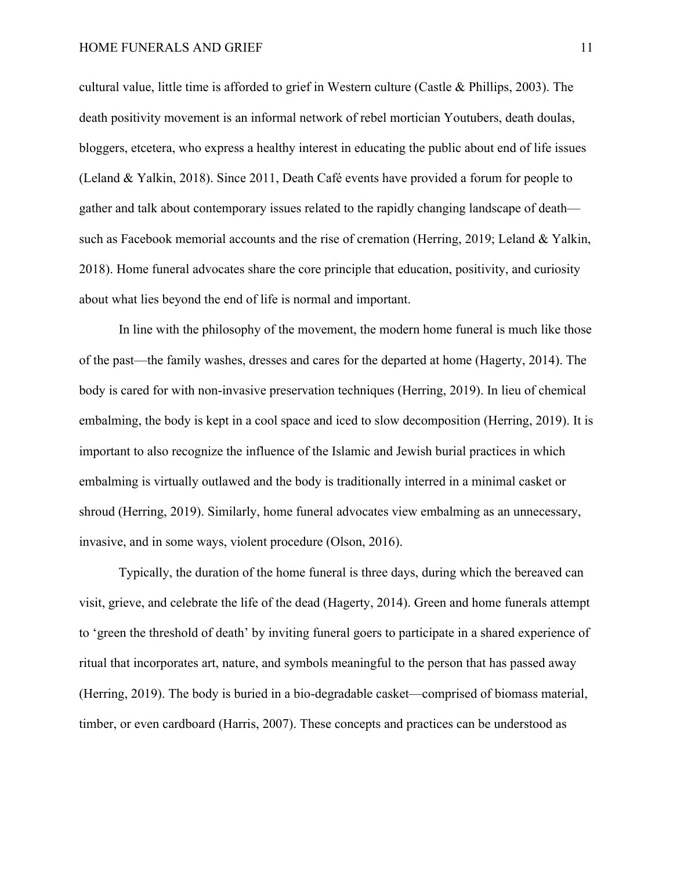#### HOME FUNERALS AND GRIEF 11

cultural value, little time is afforded to grief in Western culture (Castle & Phillips, 2003). The death positivity movement is an informal network of rebel mortician Youtubers, death doulas, bloggers, etcetera, who express a healthy interest in educating the public about end of life issues (Leland & Yalkin, 2018). Since 2011, Death Café events have provided a forum for people to gather and talk about contemporary issues related to the rapidly changing landscape of death such as Facebook memorial accounts and the rise of cremation (Herring, 2019; Leland & Yalkin, 2018). Home funeral advocates share the core principle that education, positivity, and curiosity about what lies beyond the end of life is normal and important.

In line with the philosophy of the movement, the modern home funeral is much like those of the past—the family washes, dresses and cares for the departed at home (Hagerty, 2014). The body is cared for with non-invasive preservation techniques (Herring, 2019). In lieu of chemical embalming, the body is kept in a cool space and iced to slow decomposition (Herring, 2019). It is important to also recognize the influence of the Islamic and Jewish burial practices in which embalming is virtually outlawed and the body is traditionally interred in a minimal casket or shroud (Herring, 2019). Similarly, home funeral advocates view embalming as an unnecessary, invasive, and in some ways, violent procedure (Olson, 2016).

Typically, the duration of the home funeral is three days, during which the bereaved can visit, grieve, and celebrate the life of the dead (Hagerty, 2014). Green and home funerals attempt to 'green the threshold of death' by inviting funeral goers to participate in a shared experience of ritual that incorporates art, nature, and symbols meaningful to the person that has passed away (Herring, 2019). The body is buried in a bio-degradable casket—comprised of biomass material, timber, or even cardboard (Harris, 2007). These concepts and practices can be understood as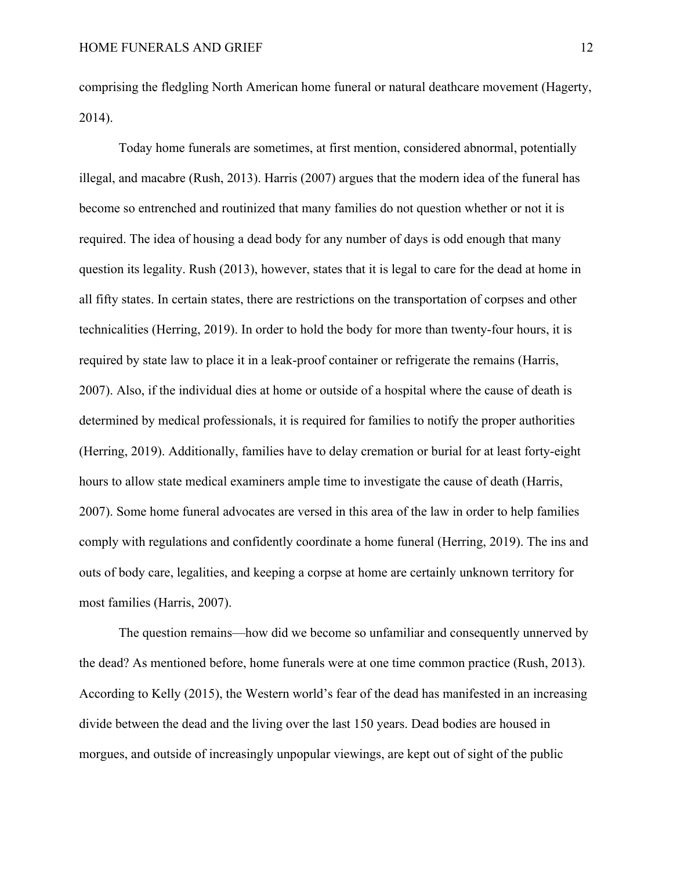comprising the fledgling North American home funeral or natural deathcare movement (Hagerty, 2014).

Today home funerals are sometimes, at first mention, considered abnormal, potentially illegal, and macabre (Rush, 2013). Harris (2007) argues that the modern idea of the funeral has become so entrenched and routinized that many families do not question whether or not it is required. The idea of housing a dead body for any number of days is odd enough that many question its legality. Rush (2013), however, states that it is legal to care for the dead at home in all fifty states. In certain states, there are restrictions on the transportation of corpses and other technicalities (Herring, 2019). In order to hold the body for more than twenty-four hours, it is required by state law to place it in a leak-proof container or refrigerate the remains (Harris, 2007). Also, if the individual dies at home or outside of a hospital where the cause of death is determined by medical professionals, it is required for families to notify the proper authorities (Herring, 2019). Additionally, families have to delay cremation or burial for at least forty-eight hours to allow state medical examiners ample time to investigate the cause of death (Harris, 2007). Some home funeral advocates are versed in this area of the law in order to help families comply with regulations and confidently coordinate a home funeral (Herring, 2019). The ins and outs of body care, legalities, and keeping a corpse at home are certainly unknown territory for most families (Harris, 2007).

The question remains—how did we become so unfamiliar and consequently unnerved by the dead? As mentioned before, home funerals were at one time common practice (Rush, 2013). According to Kelly (2015), the Western world's fear of the dead has manifested in an increasing divide between the dead and the living over the last 150 years. Dead bodies are housed in morgues, and outside of increasingly unpopular viewings, are kept out of sight of the public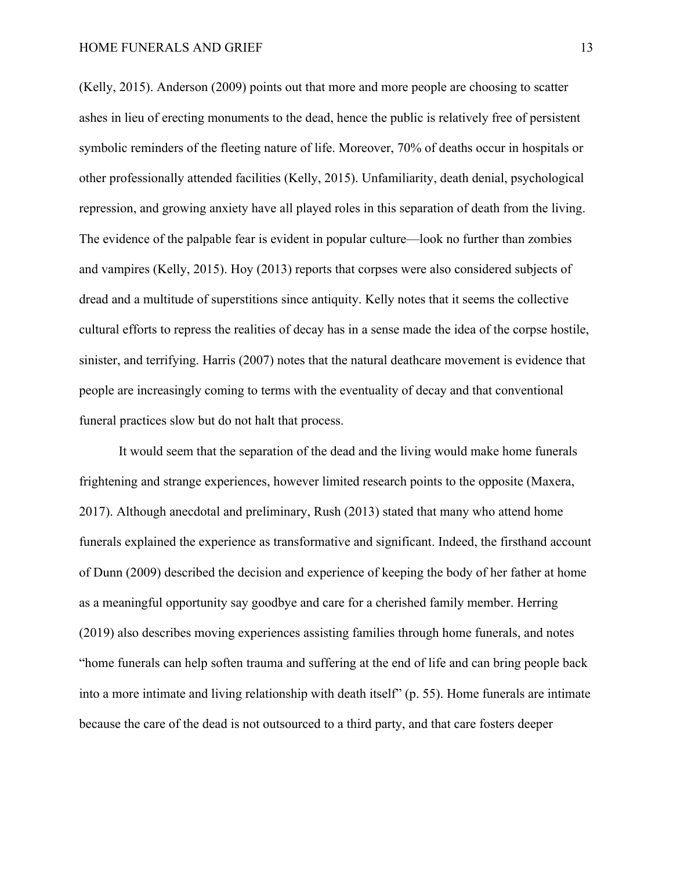(Kelly, 2015). Anderson (2009) points out that more and more people are choosing to scatter ashes in lieu of erecting monuments to the dead, hence the public is relatively free of persistent symbolic reminders of the fleeting nature of life. Moreover, 70% of deaths occur in hospitals or other professionally attended facilities (Kelly, 2015). Unfamiliarity, death denial, psychological repression, and growing anxiety have all played roles in this separation of death from the living. The evidence of the palpable fear is evident in popular culture—look no further than zombies and vampires (Kelly, 2015). Hoy (2013) reports that corpses were also considered subjects of dread and a multitude of superstitions since antiquity. Kelly notes that it seems the collective cultural efforts to repress the realities of decay has in a sense made the idea of the corpse hostile, sinister, and terrifying. Harris (2007) notes that the natural deathcare movement is evidence that people are increasingly coming to terms with the eventuality of decay and that conventional funeral practices slow but do not halt that process.

It would seem that the separation of the dead and the living would make home funerals frightening and strange experiences, however limited research points to the opposite (Maxera, 2017). Although anecdotal and preliminary, Rush (2013) stated that many who attend home funerals explained the experience as transformative and significant. Indeed, the firsthand account of Dunn (2009) described the decision and experience of keeping the body of her father at home as a meaningful opportunity say goodbye and care for a cherished family member. Herring (2019) also describes moving experiences assisting families through home funerals, and notes "home funerals can help soften trauma and suffering at the end of life and can bring people back into a more intimate and living relationship with death itself" (p. 55). Home funerals are intimate because the care of the dead is not outsourced to a third party, and that care fosters deeper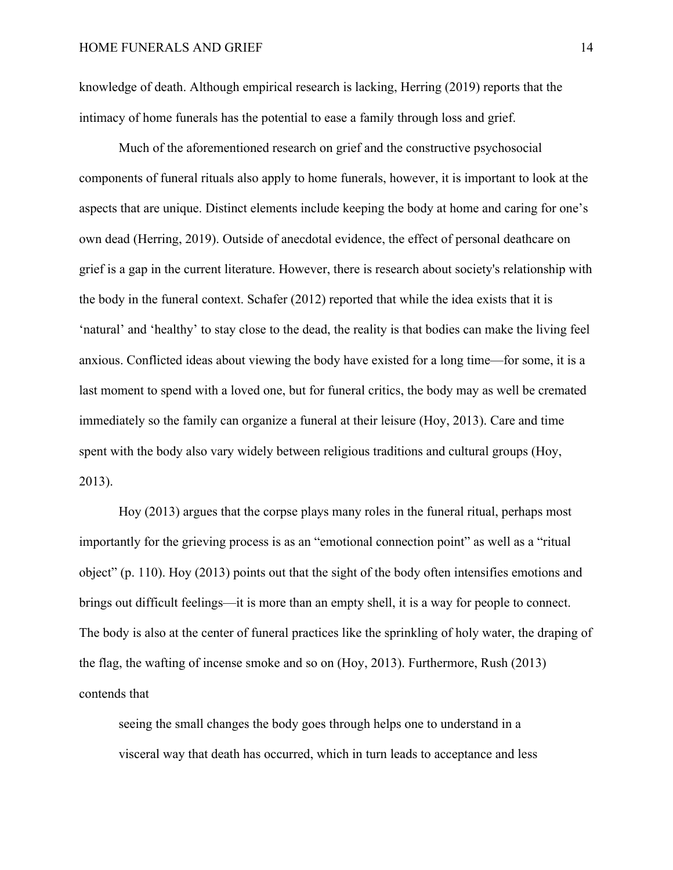knowledge of death. Although empirical research is lacking, Herring (2019) reports that the intimacy of home funerals has the potential to ease a family through loss and grief.

Much of the aforementioned research on grief and the constructive psychosocial components of funeral rituals also apply to home funerals, however, it is important to look at the aspects that are unique. Distinct elements include keeping the body at home and caring for one's own dead (Herring, 2019). Outside of anecdotal evidence, the effect of personal deathcare on grief is a gap in the current literature. However, there is research about society's relationship with the body in the funeral context. Schafer (2012) reported that while the idea exists that it is 'natural' and 'healthy' to stay close to the dead, the reality is that bodies can make the living feel anxious. Conflicted ideas about viewing the body have existed for a long time—for some, it is a last moment to spend with a loved one, but for funeral critics, the body may as well be cremated immediately so the family can organize a funeral at their leisure (Hoy, 2013). Care and time spent with the body also vary widely between religious traditions and cultural groups (Hoy, 2013).

Hoy (2013) argues that the corpse plays many roles in the funeral ritual, perhaps most importantly for the grieving process is as an "emotional connection point" as well as a "ritual object" (p. 110). Hoy (2013) points out that the sight of the body often intensifies emotions and brings out difficult feelings—it is more than an empty shell, it is a way for people to connect. The body is also at the center of funeral practices like the sprinkling of holy water, the draping of the flag, the wafting of incense smoke and so on (Hoy, 2013). Furthermore, Rush (2013) contends that

seeing the small changes the body goes through helps one to understand in a visceral way that death has occurred, which in turn leads to acceptance and less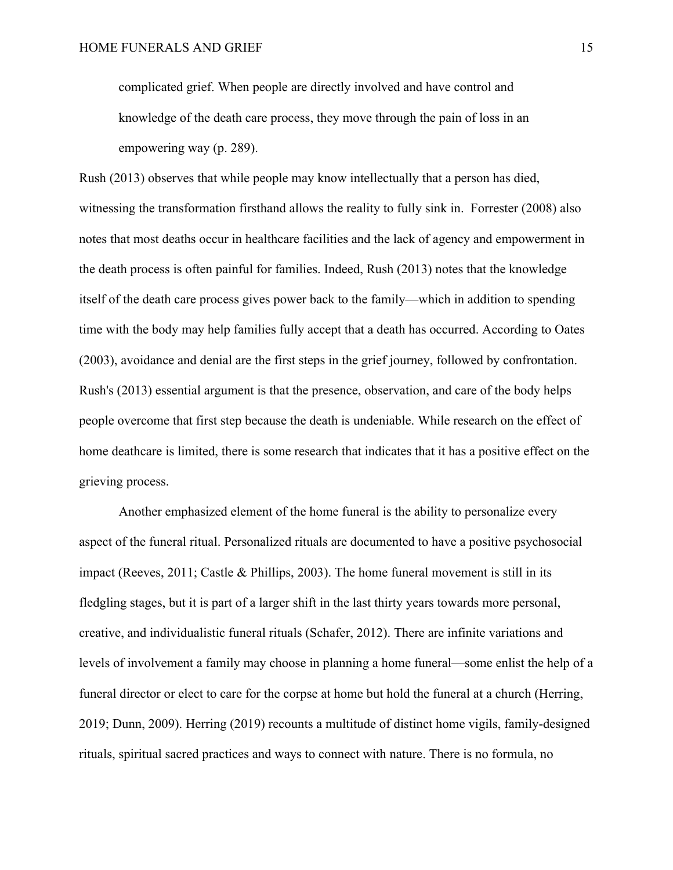complicated grief. When people are directly involved and have control and knowledge of the death care process, they move through the pain of loss in an empowering way (p. 289).

Rush (2013) observes that while people may know intellectually that a person has died, witnessing the transformation firsthand allows the reality to fully sink in. Forrester (2008) also notes that most deaths occur in healthcare facilities and the lack of agency and empowerment in the death process is often painful for families. Indeed, Rush (2013) notes that the knowledge itself of the death care process gives power back to the family—which in addition to spending time with the body may help families fully accept that a death has occurred. According to Oates (2003), avoidance and denial are the first steps in the grief journey, followed by confrontation. Rush's (2013) essential argument is that the presence, observation, and care of the body helps people overcome that first step because the death is undeniable. While research on the effect of home deathcare is limited, there is some research that indicates that it has a positive effect on the grieving process.

Another emphasized element of the home funeral is the ability to personalize every aspect of the funeral ritual. Personalized rituals are documented to have a positive psychosocial impact (Reeves, 2011; Castle & Phillips, 2003). The home funeral movement is still in its fledgling stages, but it is part of a larger shift in the last thirty years towards more personal, creative, and individualistic funeral rituals (Schafer, 2012). There are infinite variations and levels of involvement a family may choose in planning a home funeral—some enlist the help of a funeral director or elect to care for the corpse at home but hold the funeral at a church (Herring, 2019; Dunn, 2009). Herring (2019) recounts a multitude of distinct home vigils, family-designed rituals, spiritual sacred practices and ways to connect with nature. There is no formula, no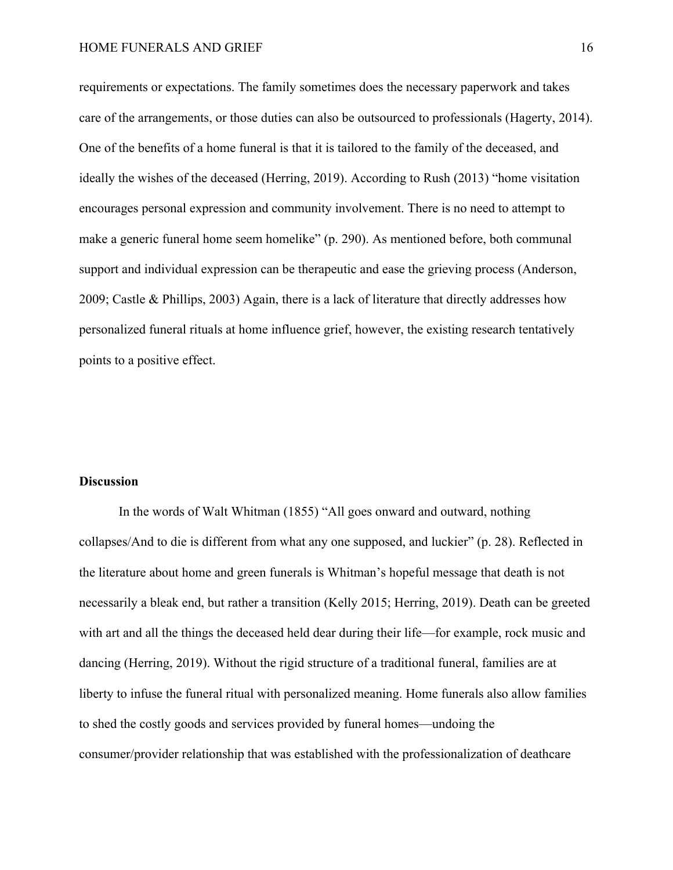requirements or expectations. The family sometimes does the necessary paperwork and takes care of the arrangements, or those duties can also be outsourced to professionals (Hagerty, 2014). One of the benefits of a home funeral is that it is tailored to the family of the deceased, and ideally the wishes of the deceased (Herring, 2019). According to Rush (2013) "home visitation encourages personal expression and community involvement. There is no need to attempt to make a generic funeral home seem homelike" (p. 290). As mentioned before, both communal support and individual expression can be therapeutic and ease the grieving process (Anderson, 2009; Castle & Phillips, 2003) Again, there is a lack of literature that directly addresses how personalized funeral rituals at home influence grief, however, the existing research tentatively points to a positive effect.

#### **Discussion**

In the words of Walt Whitman (1855) "All goes onward and outward, nothing collapses/And to die is different from what any one supposed, and luckier" (p. 28). Reflected in the literature about home and green funerals is Whitman's hopeful message that death is not necessarily a bleak end, but rather a transition (Kelly 2015; Herring, 2019). Death can be greeted with art and all the things the deceased held dear during their life—for example, rock music and dancing (Herring, 2019). Without the rigid structure of a traditional funeral, families are at liberty to infuse the funeral ritual with personalized meaning. Home funerals also allow families to shed the costly goods and services provided by funeral homes—undoing the consumer/provider relationship that was established with the professionalization of deathcare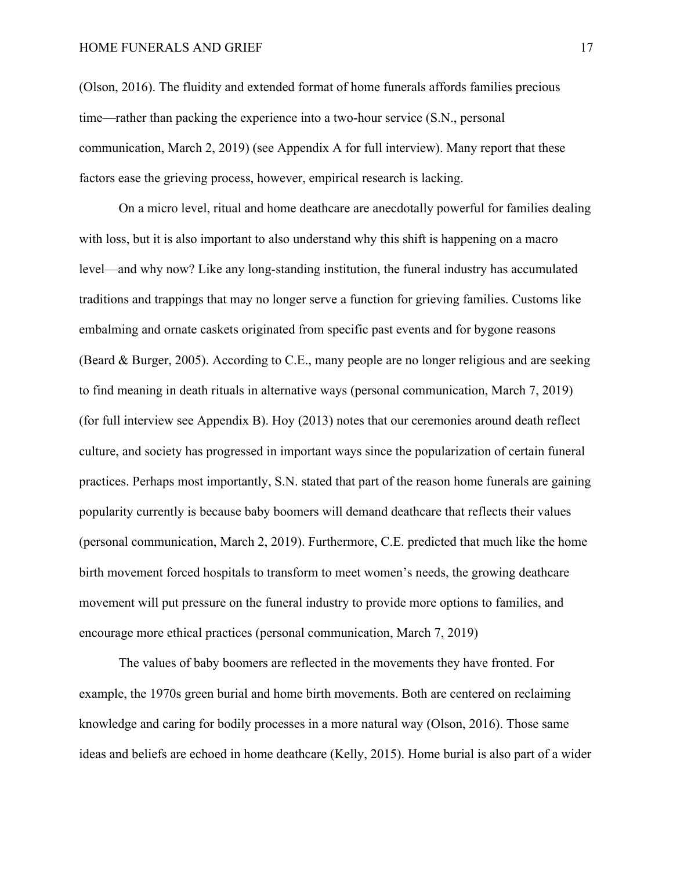#### HOME FUNERALS AND GRIEF 17

(Olson, 2016). The fluidity and extended format of home funerals affords families precious time—rather than packing the experience into a two-hour service (S.N., personal communication, March 2, 2019) (see Appendix A for full interview). Many report that these factors ease the grieving process, however, empirical research is lacking.

On a micro level, ritual and home deathcare are anecdotally powerful for families dealing with loss, but it is also important to also understand why this shift is happening on a macro level—and why now? Like any long-standing institution, the funeral industry has accumulated traditions and trappings that may no longer serve a function for grieving families. Customs like embalming and ornate caskets originated from specific past events and for bygone reasons (Beard & Burger, 2005). According to C.E., many people are no longer religious and are seeking to find meaning in death rituals in alternative ways (personal communication, March 7, 2019) (for full interview see Appendix B). Hoy (2013) notes that our ceremonies around death reflect culture, and society has progressed in important ways since the popularization of certain funeral practices. Perhaps most importantly, S.N. stated that part of the reason home funerals are gaining popularity currently is because baby boomers will demand deathcare that reflects their values (personal communication, March 2, 2019). Furthermore, C.E. predicted that much like the home birth movement forced hospitals to transform to meet women's needs, the growing deathcare movement will put pressure on the funeral industry to provide more options to families, and encourage more ethical practices (personal communication, March 7, 2019)

The values of baby boomers are reflected in the movements they have fronted. For example, the 1970s green burial and home birth movements. Both are centered on reclaiming knowledge and caring for bodily processes in a more natural way (Olson, 2016). Those same ideas and beliefs are echoed in home deathcare (Kelly, 2015). Home burial is also part of a wider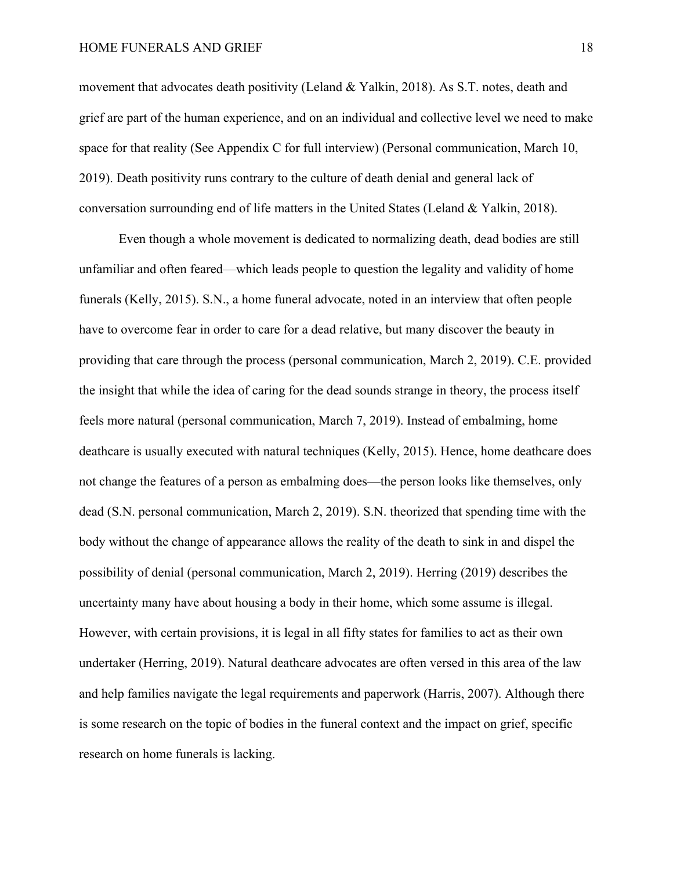#### HOME FUNERALS AND GRIEF 18

movement that advocates death positivity (Leland & Yalkin, 2018). As S.T. notes, death and grief are part of the human experience, and on an individual and collective level we need to make space for that reality (See Appendix C for full interview) (Personal communication, March 10, 2019). Death positivity runs contrary to the culture of death denial and general lack of conversation surrounding end of life matters in the United States (Leland & Yalkin, 2018).

Even though a whole movement is dedicated to normalizing death, dead bodies are still unfamiliar and often feared—which leads people to question the legality and validity of home funerals (Kelly, 2015). S.N., a home funeral advocate, noted in an interview that often people have to overcome fear in order to care for a dead relative, but many discover the beauty in providing that care through the process (personal communication, March 2, 2019). C.E. provided the insight that while the idea of caring for the dead sounds strange in theory, the process itself feels more natural (personal communication, March 7, 2019). Instead of embalming, home deathcare is usually executed with natural techniques (Kelly, 2015). Hence, home deathcare does not change the features of a person as embalming does—the person looks like themselves, only dead (S.N. personal communication, March 2, 2019). S.N. theorized that spending time with the body without the change of appearance allows the reality of the death to sink in and dispel the possibility of denial (personal communication, March 2, 2019). Herring (2019) describes the uncertainty many have about housing a body in their home, which some assume is illegal. However, with certain provisions, it is legal in all fifty states for families to act as their own undertaker (Herring, 2019). Natural deathcare advocates are often versed in this area of the law and help families navigate the legal requirements and paperwork (Harris, 2007). Although there is some research on the topic of bodies in the funeral context and the impact on grief, specific research on home funerals is lacking.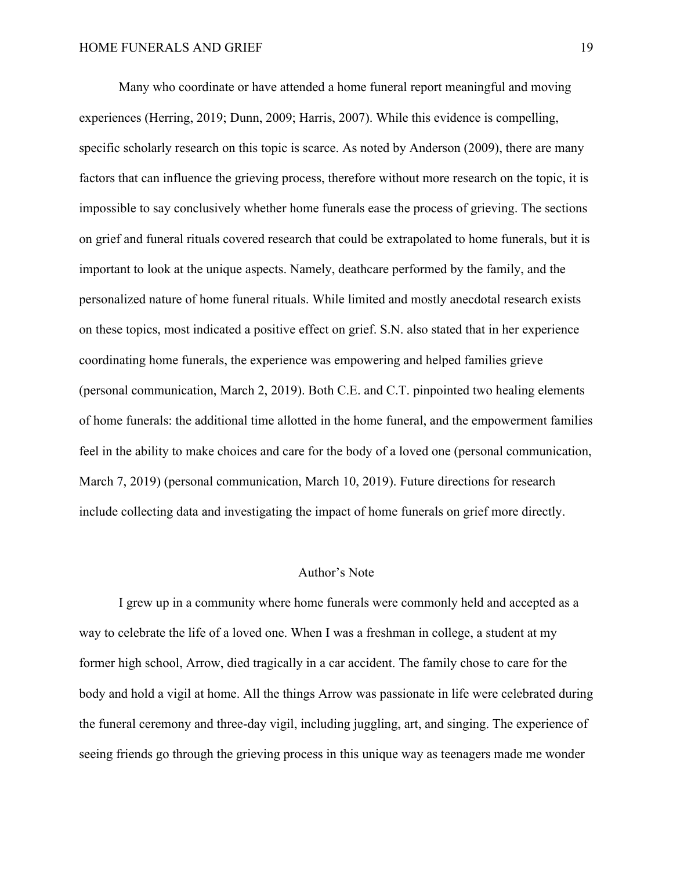Many who coordinate or have attended a home funeral report meaningful and moving experiences (Herring, 2019; Dunn, 2009; Harris, 2007). While this evidence is compelling, specific scholarly research on this topic is scarce. As noted by Anderson (2009), there are many factors that can influence the grieving process, therefore without more research on the topic, it is impossible to say conclusively whether home funerals ease the process of grieving. The sections on grief and funeral rituals covered research that could be extrapolated to home funerals, but it is important to look at the unique aspects. Namely, deathcare performed by the family, and the personalized nature of home funeral rituals. While limited and mostly anecdotal research exists on these topics, most indicated a positive effect on grief. S.N. also stated that in her experience coordinating home funerals, the experience was empowering and helped families grieve (personal communication, March 2, 2019). Both C.E. and C.T. pinpointed two healing elements of home funerals: the additional time allotted in the home funeral, and the empowerment families feel in the ability to make choices and care for the body of a loved one (personal communication, March 7, 2019) (personal communication, March 10, 2019). Future directions for research include collecting data and investigating the impact of home funerals on grief more directly.

#### Author's Note

I grew up in a community where home funerals were commonly held and accepted as a way to celebrate the life of a loved one. When I was a freshman in college, a student at my former high school, Arrow, died tragically in a car accident. The family chose to care for the body and hold a vigil at home. All the things Arrow was passionate in life were celebrated during the funeral ceremony and three-day vigil, including juggling, art, and singing. The experience of seeing friends go through the grieving process in this unique way as teenagers made me wonder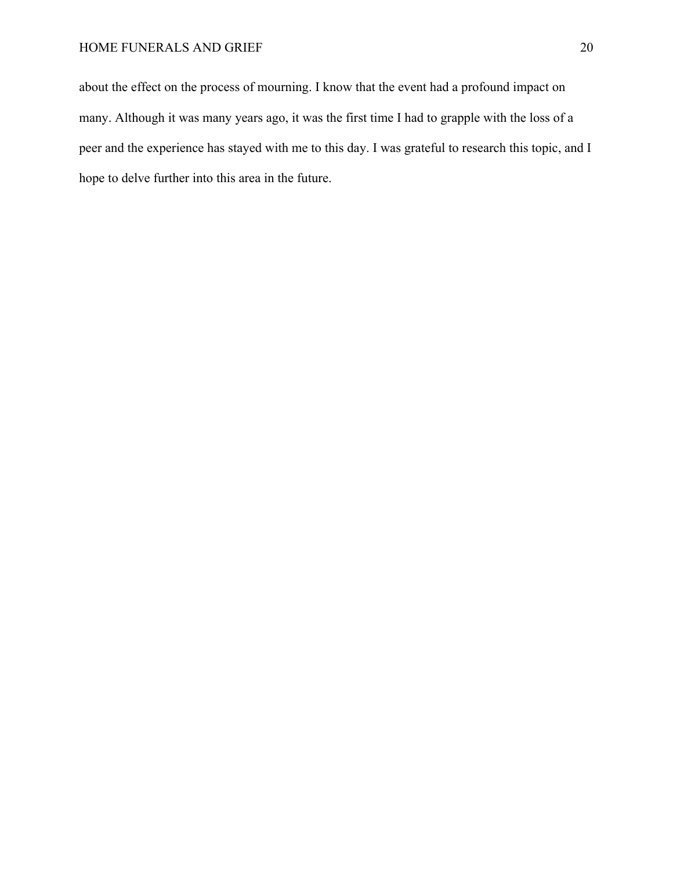about the effect on the process of mourning. I know that the event had a profound impact on many. Although it was many years ago, it was the first time I had to grapple with the loss of a peer and the experience has stayed with me to this day. I was grateful to research this topic, and I hope to delve further into this area in the future.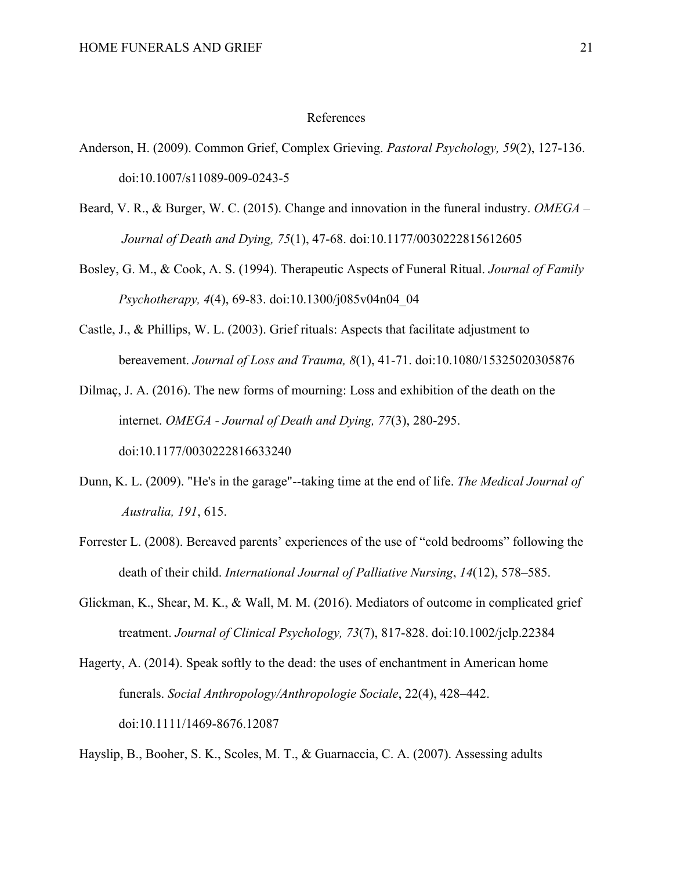#### References

- Anderson, H. (2009). Common Grief, Complex Grieving. *Pastoral Psychology, 59*(2), 127-136. doi:10.1007/s11089-009-0243-5
- Beard, V. R., & Burger, W. C. (2015). Change and innovation in the funeral industry. *OMEGA – Journal of Death and Dying, 75*(1), 47-68. doi:10.1177/0030222815612605
- Bosley, G. M., & Cook, A. S. (1994). Therapeutic Aspects of Funeral Ritual. *Journal of Family Psychotherapy, 4*(4), 69-83. doi:10.1300/j085v04n04\_04
- Castle, J., & Phillips, W. L. (2003). Grief rituals: Aspects that facilitate adjustment to bereavement. *Journal of Loss and Trauma, 8*(1), 41-71. doi:10.1080/15325020305876

Dilmaç, J. A. (2016). The new forms of mourning: Loss and exhibition of the death on the internet. *OMEGA - Journal of Death and Dying, 77*(3), 280-295. doi:10.1177/0030222816633240

- Dunn, K. L. (2009). "He's in the garage"--taking time at the end of life. *The Medical Journal of Australia, 191*, 615.
- Forrester L. (2008). Bereaved parents' experiences of the use of "cold bedrooms" following the death of their child. *International Journal of Palliative Nursing*, *14*(12), 578–585.
- Glickman, K., Shear, M. K., & Wall, M. M. (2016). Mediators of outcome in complicated grief treatment. *Journal of Clinical Psychology, 73*(7), 817-828. doi:10.1002/jclp.22384
- Hagerty, A. (2014). Speak softly to the dead: the uses of enchantment in American home funerals. *Social Anthropology/Anthropologie Sociale*, 22(4), 428–442. doi:10.1111/1469-8676.12087

Hayslip, B., Booher, S. K., Scoles, M. T., & Guarnaccia, C. A. (2007). Assessing adults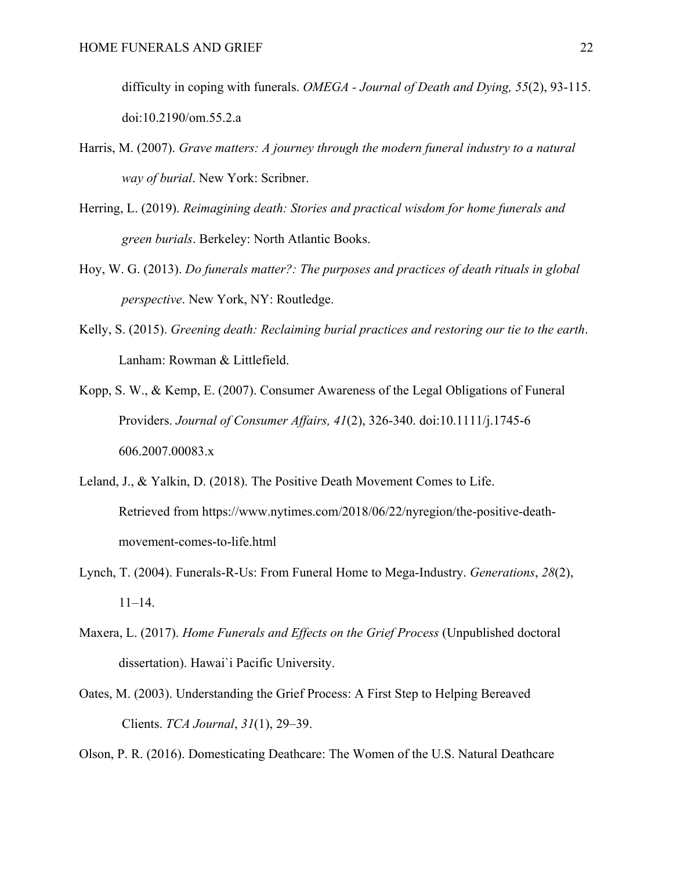difficulty in coping with funerals. *OMEGA - Journal of Death and Dying, 55*(2), 93-115. doi:10.2190/om.55.2.a

- Harris, M. (2007). *Grave matters: A journey through the modern funeral industry to a natural way of burial*. New York: Scribner.
- Herring, L. (2019). *Reimagining death: Stories and practical wisdom for home funerals and green burials*. Berkeley: North Atlantic Books.
- Hoy, W. G. (2013). *Do funerals matter?: The purposes and practices of death rituals in global perspective*. New York, NY: Routledge.
- Kelly, S. (2015). *Greening death: Reclaiming burial practices and restoring our tie to the earth*. Lanham: Rowman & Littlefield.
- Kopp, S. W., & Kemp, E. (2007). Consumer Awareness of the Legal Obligations of Funeral Providers. *Journal of Consumer Affairs, 41*(2), 326-340. doi:10.1111/j.1745-6 606.2007.00083.x
- Leland, J., & Yalkin, D. (2018). The Positive Death Movement Comes to Life. Retrieved from https://www.nytimes.com/2018/06/22/nyregion/the-positive-deathmovement-comes-to-life.html
- Lynch, T. (2004). Funerals-R-Us: From Funeral Home to Mega-Industry. *Generations*, *28*(2), 11–14.
- Maxera, L. (2017). *Home Funerals and Effects on the Grief Process* (Unpublished doctoral dissertation). Hawai`i Pacific University.
- Oates, M. (2003). Understanding the Grief Process: A First Step to Helping Bereaved Clients. *TCA Journal*, *31*(1), 29–39.

Olson, P. R. (2016). Domesticating Deathcare: The Women of the U.S. Natural Deathcare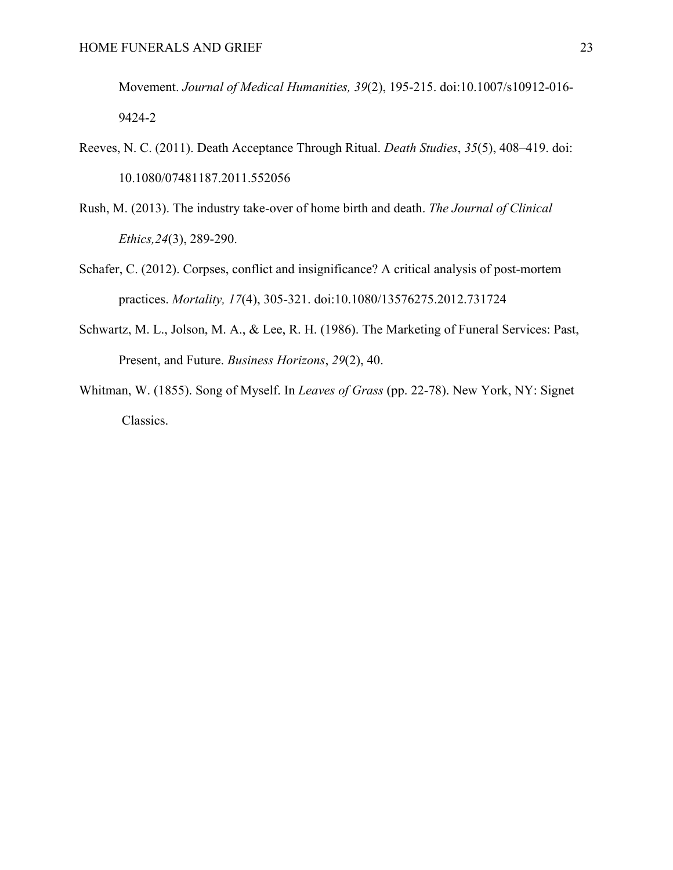Movement. *Journal of Medical Humanities, 39*(2), 195-215. doi:10.1007/s10912-016- 9424-2

- Reeves, N. C. (2011). Death Acceptance Through Ritual. *Death Studies*, *35*(5), 408–419. doi: 10.1080/07481187.2011.552056
- Rush, M. (2013). The industry take-over of home birth and death. *The Journal of Clinical Ethics,24*(3), 289-290.
- Schafer, C. (2012). Corpses, conflict and insignificance? A critical analysis of post-mortem practices. *Mortality, 17*(4), 305-321. doi:10.1080/13576275.2012.731724
- Schwartz, M. L., Jolson, M. A., & Lee, R. H. (1986). The Marketing of Funeral Services: Past, Present, and Future. *Business Horizons*, *29*(2), 40.
- Whitman, W. (1855). Song of Myself. In *Leaves of Grass* (pp. 22-78). New York, NY: Signet Classics.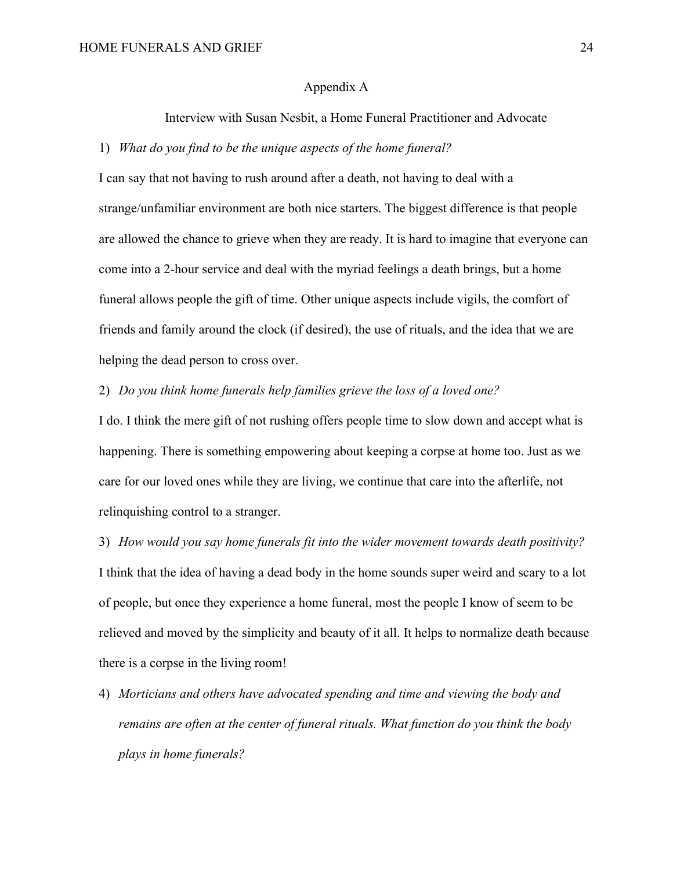#### Appendix A

#### Interview with Susan Nesbit, a Home Funeral Practitioner and Advocate

#### 1) *What do you find to be the unique aspects of the home funeral?*

I can say that not having to rush around after a death, not having to deal with a strange/unfamiliar environment are both nice starters. The biggest difference is that people are allowed the chance to grieve when they are ready. It is hard to imagine that everyone can come into a 2-hour service and deal with the myriad feelings a death brings, but a home funeral allows people the gift of time. Other unique aspects include vigils, the comfort of friends and family around the clock (if desired), the use of rituals, and the idea that we are helping the dead person to cross over.

#### 2) *Do you think home funerals help families grieve the loss of a loved one?*

I do. I think the mere gift of not rushing offers people time to slow down and accept what is happening. There is something empowering about keeping a corpse at home too. Just as we care for our loved ones while they are living, we continue that care into the afterlife, not relinquishing control to a stranger.

# 3) *How would you say home funerals fit into the wider movement towards death positivity?* I think that the idea of having a dead body in the home sounds super weird and scary to a lot

of people, but once they experience a home funeral, most the people I know of seem to be relieved and moved by the simplicity and beauty of it all. It helps to normalize death because there is a corpse in the living room!

4) *Morticians and others have advocated spending and time and viewing the body and remains are often at the center of funeral rituals. What function do you think the body plays in home funerals?*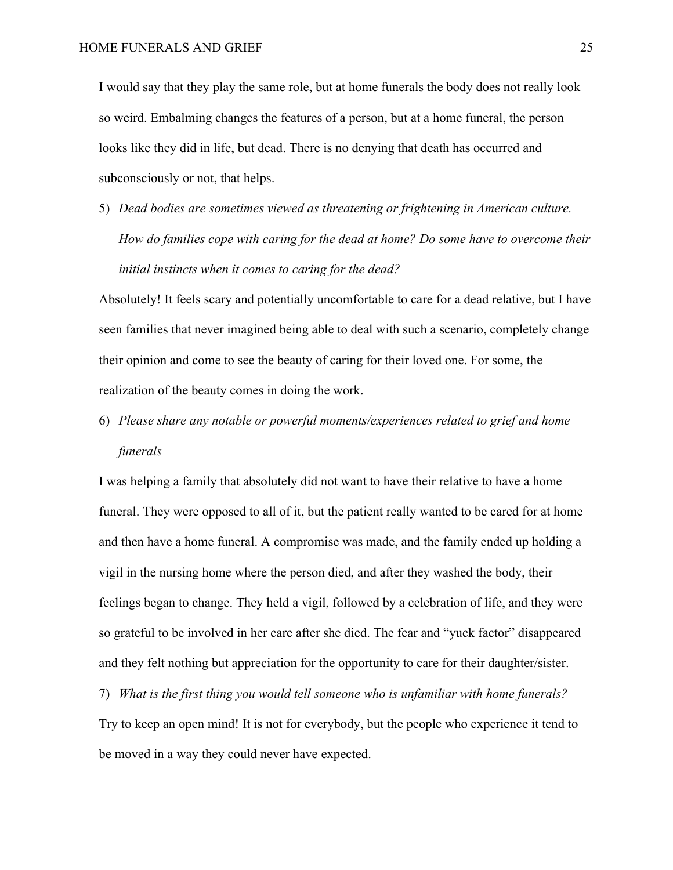I would say that they play the same role, but at home funerals the body does not really look so weird. Embalming changes the features of a person, but at a home funeral, the person looks like they did in life, but dead. There is no denying that death has occurred and subconsciously or not, that helps.

5) *Dead bodies are sometimes viewed as threatening or frightening in American culture. How do families cope with caring for the dead at home? Do some have to overcome their initial instincts when it comes to caring for the dead?* 

Absolutely! It feels scary and potentially uncomfortable to care for a dead relative, but I have seen families that never imagined being able to deal with such a scenario, completely change their opinion and come to see the beauty of caring for their loved one. For some, the realization of the beauty comes in doing the work.

6) *Please share any notable or powerful moments/experiences related to grief and home funerals* 

I was helping a family that absolutely did not want to have their relative to have a home funeral. They were opposed to all of it, but the patient really wanted to be cared for at home and then have a home funeral. A compromise was made, and the family ended up holding a vigil in the nursing home where the person died, and after they washed the body, their feelings began to change. They held a vigil, followed by a celebration of life, and they were so grateful to be involved in her care after she died. The fear and "yuck factor" disappeared and they felt nothing but appreciation for the opportunity to care for their daughter/sister.

7) *What is the first thing you would tell someone who is unfamiliar with home funerals?*  Try to keep an open mind! It is not for everybody, but the people who experience it tend to be moved in a way they could never have expected.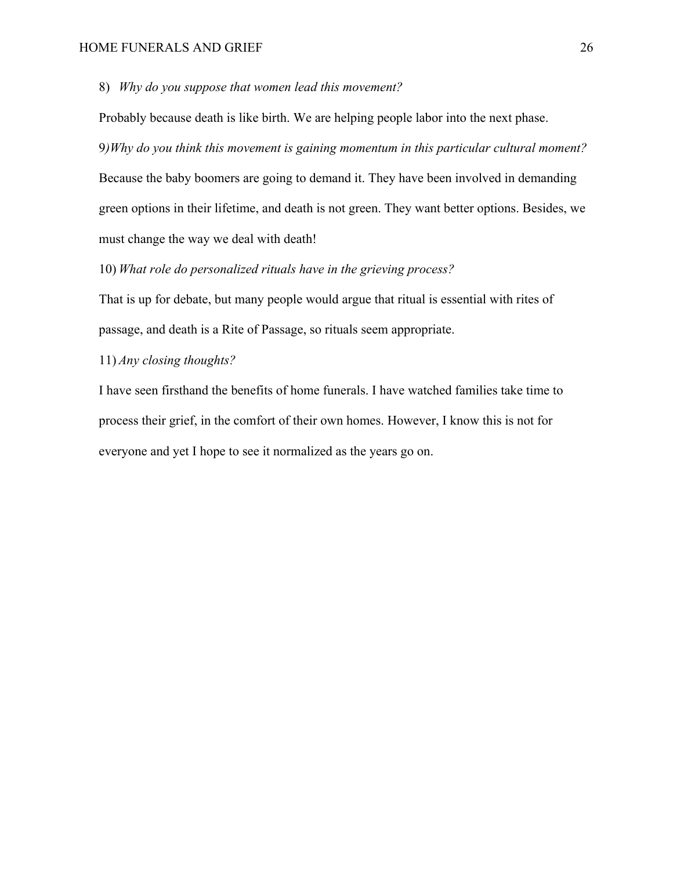8) *Why do you suppose that women lead this movement?* 

Probably because death is like birth. We are helping people labor into the next phase.

9*)Why do you think this movement is gaining momentum in this particular cultural moment?* 

Because the baby boomers are going to demand it. They have been involved in demanding green options in their lifetime, and death is not green. They want better options. Besides, we must change the way we deal with death!

10) *What role do personalized rituals have in the grieving process?* 

That is up for debate, but many people would argue that ritual is essential with rites of passage, and death is a Rite of Passage, so rituals seem appropriate.

11) *Any closing thoughts?* 

I have seen firsthand the benefits of home funerals. I have watched families take time to process their grief, in the comfort of their own homes. However, I know this is not for everyone and yet I hope to see it normalized as the years go on.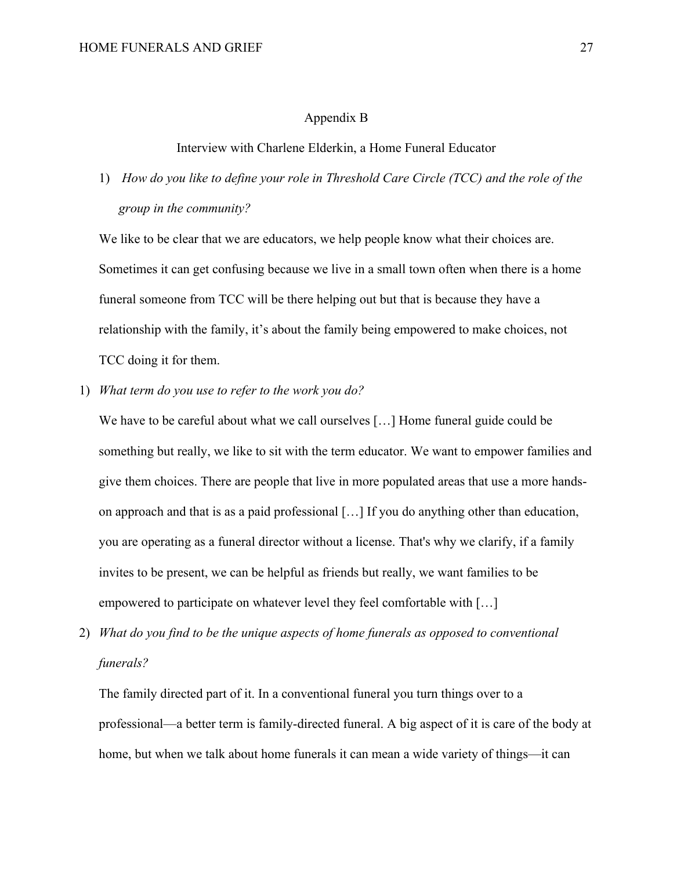#### Appendix B

#### Interview with Charlene Elderkin, a Home Funeral Educator

1) *How do you like to define your role in Threshold Care Circle (TCC) and the role of the group in the community?*

We like to be clear that we are educators, we help people know what their choices are. Sometimes it can get confusing because we live in a small town often when there is a home funeral someone from TCC will be there helping out but that is because they have a relationship with the family, it's about the family being empowered to make choices, not TCC doing it for them.

1) *What term do you use to refer to the work you do?* 

We have to be careful about what we call ourselves [...] Home funeral guide could be something but really, we like to sit with the term educator. We want to empower families and give them choices. There are people that live in more populated areas that use a more handson approach and that is as a paid professional […] If you do anything other than education, you are operating as a funeral director without a license. That's why we clarify, if a family invites to be present, we can be helpful as friends but really, we want families to be empowered to participate on whatever level they feel comfortable with […]

2) *What do you find to be the unique aspects of home funerals as opposed to conventional funerals?* 

The family directed part of it. In a conventional funeral you turn things over to a professional—a better term is family-directed funeral. A big aspect of it is care of the body at home, but when we talk about home funerals it can mean a wide variety of things—it can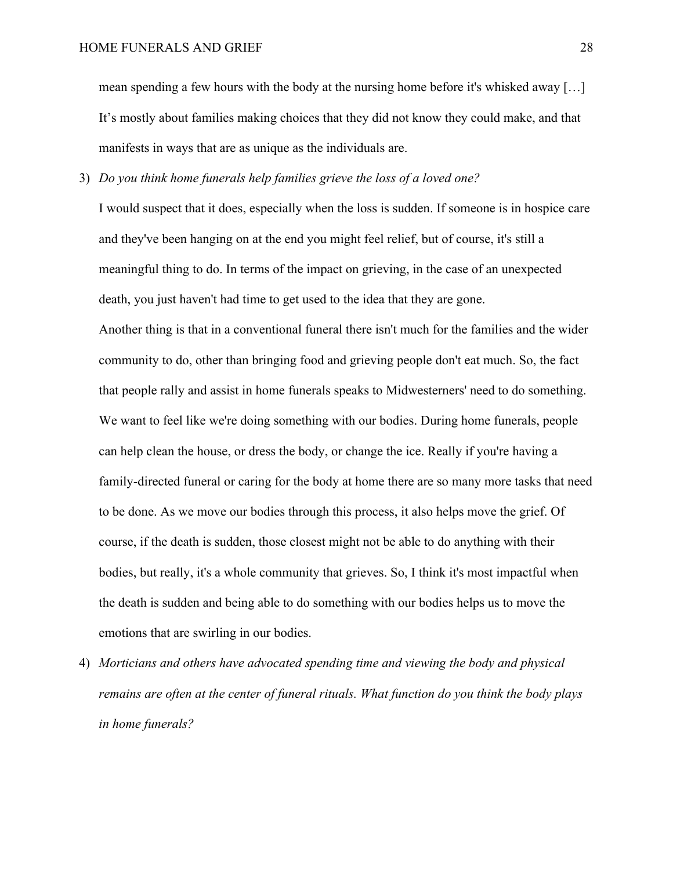mean spending a few hours with the body at the nursing home before it's whisked away […] It's mostly about families making choices that they did not know they could make, and that manifests in ways that are as unique as the individuals are.

3) *Do you think home funerals help families grieve the loss of a loved one?* 

I would suspect that it does, especially when the loss is sudden. If someone is in hospice care and they've been hanging on at the end you might feel relief, but of course, it's still a meaningful thing to do. In terms of the impact on grieving, in the case of an unexpected death, you just haven't had time to get used to the idea that they are gone. Another thing is that in a conventional funeral there isn't much for the families and the wider community to do, other than bringing food and grieving people don't eat much. So, the fact that people rally and assist in home funerals speaks to Midwesterners' need to do something. We want to feel like we're doing something with our bodies. During home funerals, people can help clean the house, or dress the body, or change the ice. Really if you're having a family-directed funeral or caring for the body at home there are so many more tasks that need to be done. As we move our bodies through this process, it also helps move the grief. Of course, if the death is sudden, those closest might not be able to do anything with their bodies, but really, it's a whole community that grieves. So, I think it's most impactful when the death is sudden and being able to do something with our bodies helps us to move the emotions that are swirling in our bodies.

4) *Morticians and others have advocated spending time and viewing the body and physical remains are often at the center of funeral rituals. What function do you think the body plays in home funerals?*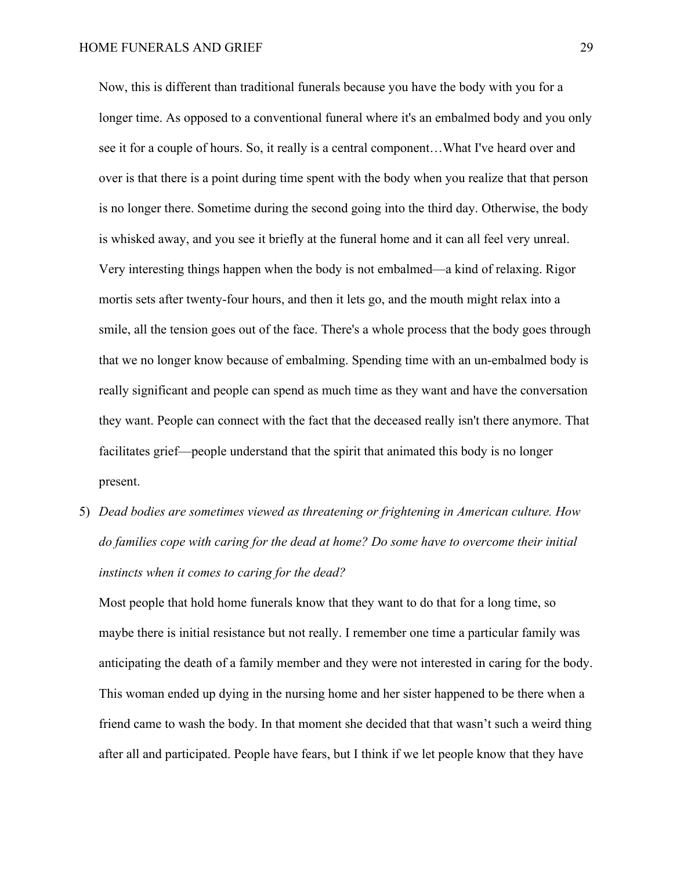Now, this is different than traditional funerals because you have the body with you for a longer time. As opposed to a conventional funeral where it's an embalmed body and you only see it for a couple of hours. So, it really is a central component…What I've heard over and over is that there is a point during time spent with the body when you realize that that person is no longer there. Sometime during the second going into the third day. Otherwise, the body is whisked away, and you see it briefly at the funeral home and it can all feel very unreal. Very interesting things happen when the body is not embalmed—a kind of relaxing. Rigor mortis sets after twenty-four hours, and then it lets go, and the mouth might relax into a smile, all the tension goes out of the face. There's a whole process that the body goes through that we no longer know because of embalming. Spending time with an un-embalmed body is really significant and people can spend as much time as they want and have the conversation they want. People can connect with the fact that the deceased really isn't there anymore. That facilitates grief—people understand that the spirit that animated this body is no longer present.

5) *Dead bodies are sometimes viewed as threatening or frightening in American culture. How do families cope with caring for the dead at home? Do some have to overcome their initial instincts when it comes to caring for the dead?* 

Most people that hold home funerals know that they want to do that for a long time, so maybe there is initial resistance but not really. I remember one time a particular family was anticipating the death of a family member and they were not interested in caring for the body. This woman ended up dying in the nursing home and her sister happened to be there when a friend came to wash the body. In that moment she decided that that wasn't such a weird thing after all and participated. People have fears, but I think if we let people know that they have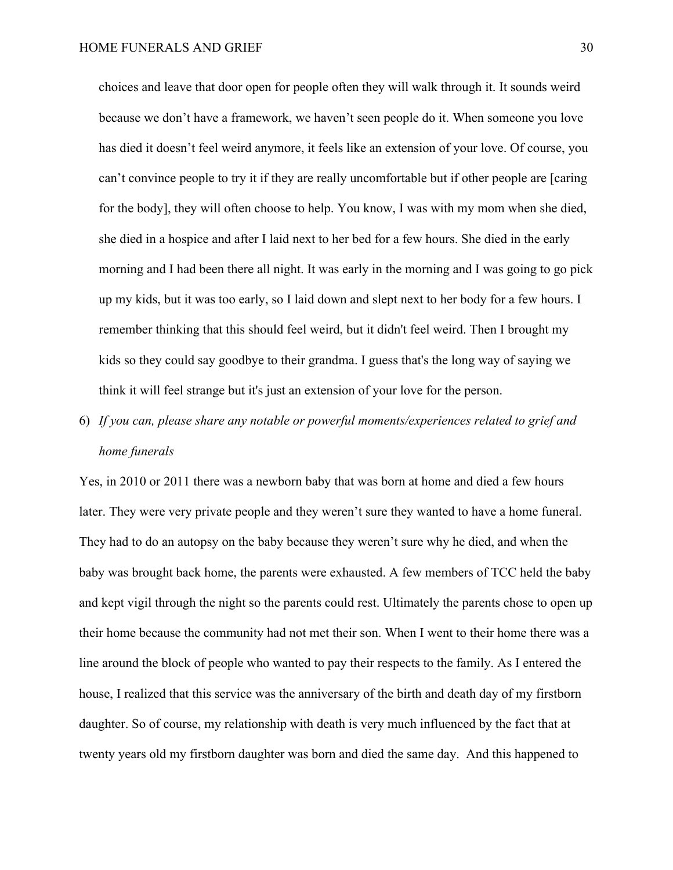choices and leave that door open for people often they will walk through it. It sounds weird because we don't have a framework, we haven't seen people do it. When someone you love has died it doesn't feel weird anymore, it feels like an extension of your love. Of course, you can't convince people to try it if they are really uncomfortable but if other people are [caring for the body], they will often choose to help. You know, I was with my mom when she died, she died in a hospice and after I laid next to her bed for a few hours. She died in the early morning and I had been there all night. It was early in the morning and I was going to go pick up my kids, but it was too early, so I laid down and slept next to her body for a few hours. I remember thinking that this should feel weird, but it didn't feel weird. Then I brought my kids so they could say goodbye to their grandma. I guess that's the long way of saying we think it will feel strange but it's just an extension of your love for the person.

6) *If you can, please share any notable or powerful moments/experiences related to grief and home funerals* 

Yes, in 2010 or 2011 there was a newborn baby that was born at home and died a few hours later. They were very private people and they weren't sure they wanted to have a home funeral. They had to do an autopsy on the baby because they weren't sure why he died, and when the baby was brought back home, the parents were exhausted. A few members of TCC held the baby and kept vigil through the night so the parents could rest. Ultimately the parents chose to open up their home because the community had not met their son. When I went to their home there was a line around the block of people who wanted to pay their respects to the family. As I entered the house, I realized that this service was the anniversary of the birth and death day of my firstborn daughter. So of course, my relationship with death is very much influenced by the fact that at twenty years old my firstborn daughter was born and died the same day. And this happened to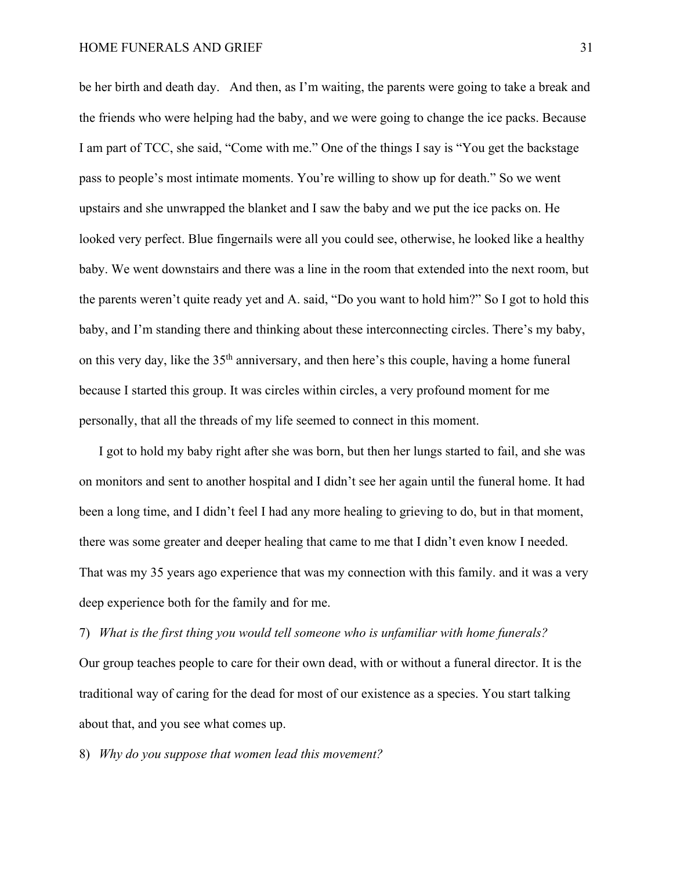be her birth and death day. And then, as I'm waiting, the parents were going to take a break and the friends who were helping had the baby, and we were going to change the ice packs. Because I am part of TCC, she said, "Come with me." One of the things I say is "You get the backstage pass to people's most intimate moments. You're willing to show up for death." So we went upstairs and she unwrapped the blanket and I saw the baby and we put the ice packs on. He looked very perfect. Blue fingernails were all you could see, otherwise, he looked like a healthy baby. We went downstairs and there was a line in the room that extended into the next room, but the parents weren't quite ready yet and A. said, "Do you want to hold him?" So I got to hold this baby, and I'm standing there and thinking about these interconnecting circles. There's my baby, on this very day, like the 35<sup>th</sup> anniversary, and then here's this couple, having a home funeral because I started this group. It was circles within circles, a very profound moment for me personally, that all the threads of my life seemed to connect in this moment.

I got to hold my baby right after she was born, but then her lungs started to fail, and she was on monitors and sent to another hospital and I didn't see her again until the funeral home. It had been a long time, and I didn't feel I had any more healing to grieving to do, but in that moment, there was some greater and deeper healing that came to me that I didn't even know I needed. That was my 35 years ago experience that was my connection with this family. and it was a very deep experience both for the family and for me.

7) *What is the first thing you would tell someone who is unfamiliar with home funerals?*  Our group teaches people to care for their own dead, with or without a funeral director. It is the traditional way of caring for the dead for most of our existence as a species. You start talking about that, and you see what comes up.

8) *Why do you suppose that women lead this movement?*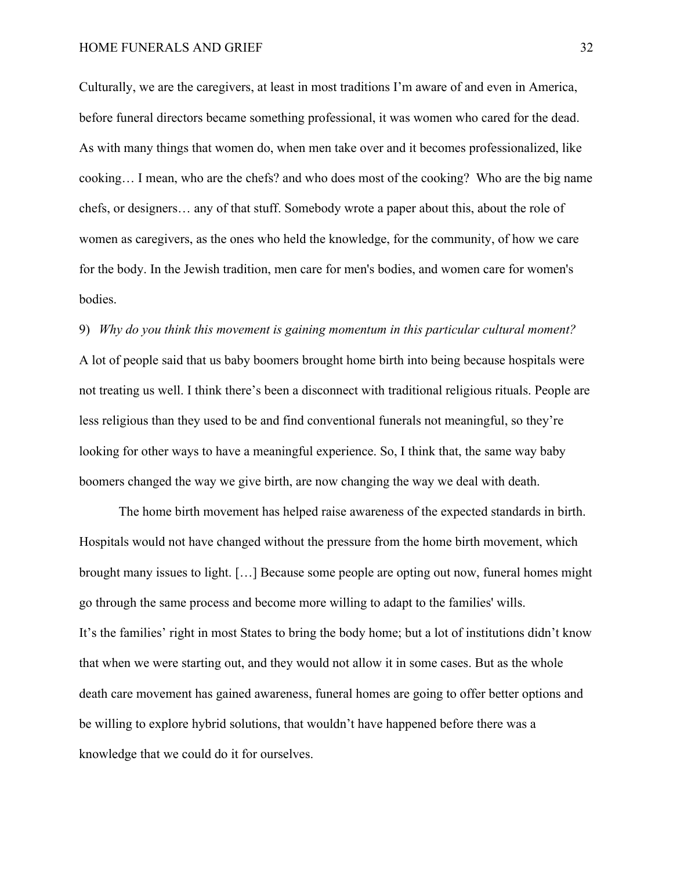#### HOME FUNERALS AND GRIEF 32

Culturally, we are the caregivers, at least in most traditions I'm aware of and even in America, before funeral directors became something professional, it was women who cared for the dead. As with many things that women do, when men take over and it becomes professionalized, like cooking… I mean, who are the chefs? and who does most of the cooking? Who are the big name chefs, or designers… any of that stuff. Somebody wrote a paper about this, about the role of women as caregivers, as the ones who held the knowledge, for the community, of how we care for the body. In the Jewish tradition, men care for men's bodies, and women care for women's bodies.

9) *Why do you think this movement is gaining momentum in this particular cultural moment?*  A lot of people said that us baby boomers brought home birth into being because hospitals were not treating us well. I think there's been a disconnect with traditional religious rituals. People are less religious than they used to be and find conventional funerals not meaningful, so they're looking for other ways to have a meaningful experience. So, I think that, the same way baby boomers changed the way we give birth, are now changing the way we deal with death.

The home birth movement has helped raise awareness of the expected standards in birth. Hospitals would not have changed without the pressure from the home birth movement, which brought many issues to light. […] Because some people are opting out now, funeral homes might go through the same process and become more willing to adapt to the families' wills. It's the families' right in most States to bring the body home; but a lot of institutions didn't know that when we were starting out, and they would not allow it in some cases. But as the whole death care movement has gained awareness, funeral homes are going to offer better options and be willing to explore hybrid solutions, that wouldn't have happened before there was a knowledge that we could do it for ourselves.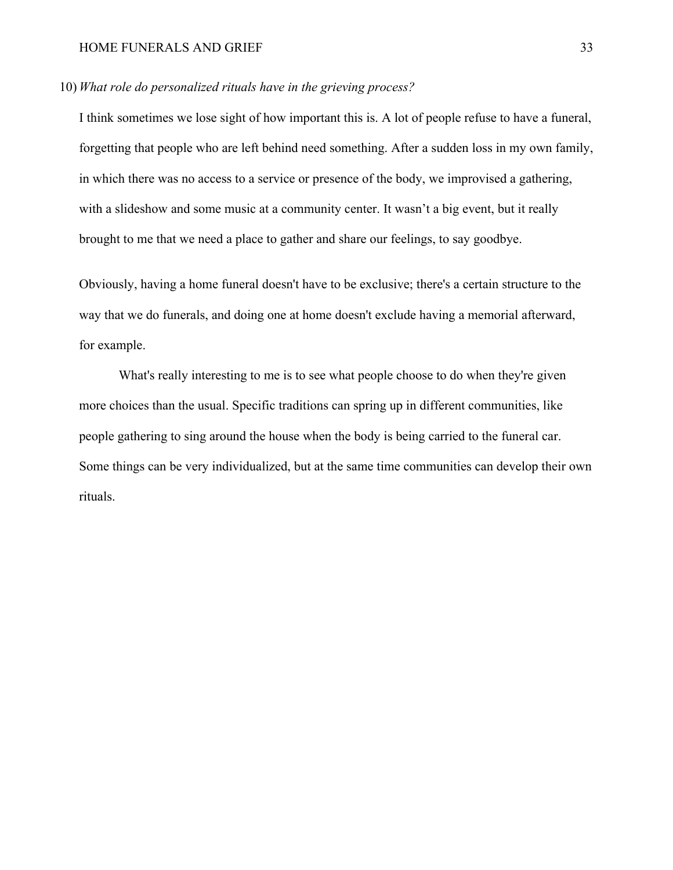10) *What role do personalized rituals have in the grieving process?* 

I think sometimes we lose sight of how important this is. A lot of people refuse to have a funeral, forgetting that people who are left behind need something. After a sudden loss in my own family, in which there was no access to a service or presence of the body, we improvised a gathering, with a slideshow and some music at a community center. It wasn't a big event, but it really brought to me that we need a place to gather and share our feelings, to say goodbye.

Obviously, having a home funeral doesn't have to be exclusive; there's a certain structure to the way that we do funerals, and doing one at home doesn't exclude having a memorial afterward, for example.

What's really interesting to me is to see what people choose to do when they're given more choices than the usual. Specific traditions can spring up in different communities, like people gathering to sing around the house when the body is being carried to the funeral car. Some things can be very individualized, but at the same time communities can develop their own rituals.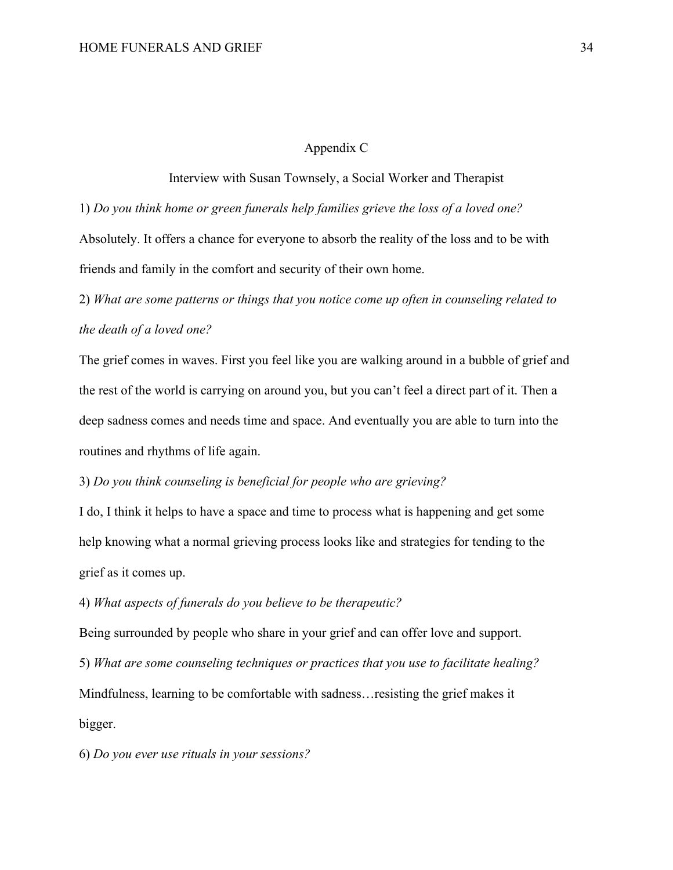#### Appendix C

#### Interview with Susan Townsely, a Social Worker and Therapist

1) *Do you think home or green funerals help families grieve the loss of a loved one?*

Absolutely. It offers a chance for everyone to absorb the reality of the loss and to be with friends and family in the comfort and security of their own home.

# 2) *What are some patterns or things that you notice come up often in counseling related to the death of a loved one?*

The grief comes in waves. First you feel like you are walking around in a bubble of grief and the rest of the world is carrying on around you, but you can't feel a direct part of it. Then a deep sadness comes and needs time and space. And eventually you are able to turn into the routines and rhythms of life again.

#### 3) *Do you think counseling is beneficial for people who are grieving?*

I do, I think it helps to have a space and time to process what is happening and get some help knowing what a normal grieving process looks like and strategies for tending to the grief as it comes up.

4) *What aspects of funerals do you believe to be therapeutic?*

Being surrounded by people who share in your grief and can offer love and support.

5) *What are some counseling techniques or practices that you use to facilitate healing?* Mindfulness, learning to be comfortable with sadness…resisting the grief makes it bigger.

6) *Do you ever use rituals in your sessions?*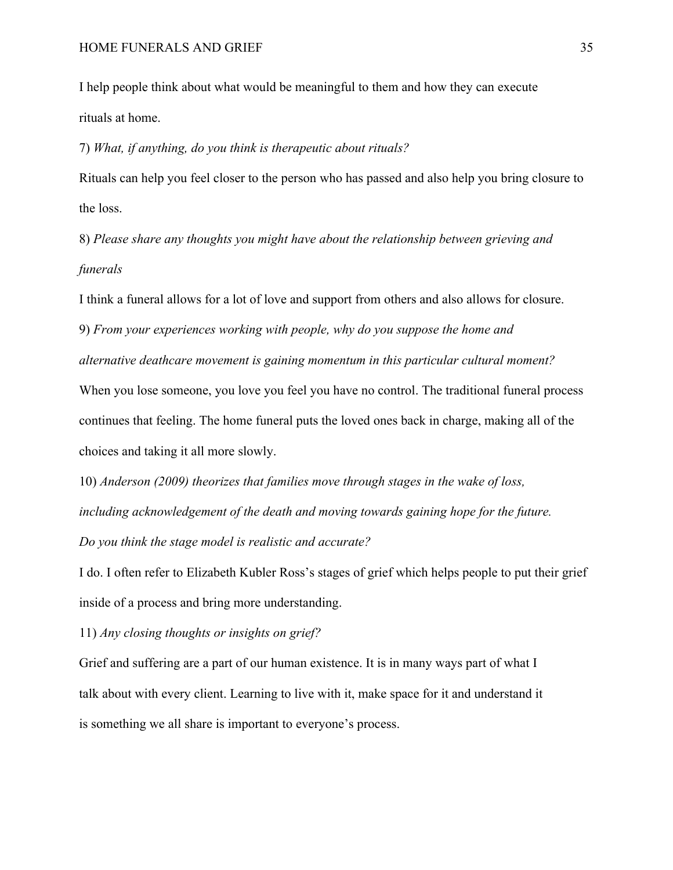I help people think about what would be meaningful to them and how they can execute rituals at home.

7) *What, if anything, do you think is therapeutic about rituals?*

Rituals can help you feel closer to the person who has passed and also help you bring closure to the loss.

8) *Please share any thoughts you might have about the relationship between grieving and funerals*

I think a funeral allows for a lot of love and support from others and also allows for closure.

9) *From your experiences working with people, why do you suppose the home and alternative deathcare movement is gaining momentum in this particular cultural moment?*

When you lose someone, you love you feel you have no control. The traditional funeral process continues that feeling. The home funeral puts the loved ones back in charge, making all of the choices and taking it all more slowly.

10) *Anderson (2009) theorizes that families move through stages in the wake of loss, including acknowledgement of the death and moving towards gaining hope for the future. Do you think the stage model is realistic and accurate?*

I do. I often refer to Elizabeth Kubler Ross's stages of grief which helps people to put their grief inside of a process and bring more understanding.

11) *Any closing thoughts or insights on grief?*

Grief and suffering are a part of our human existence. It is in many ways part of what I talk about with every client. Learning to live with it, make space for it and understand it is something we all share is important to everyone's process.